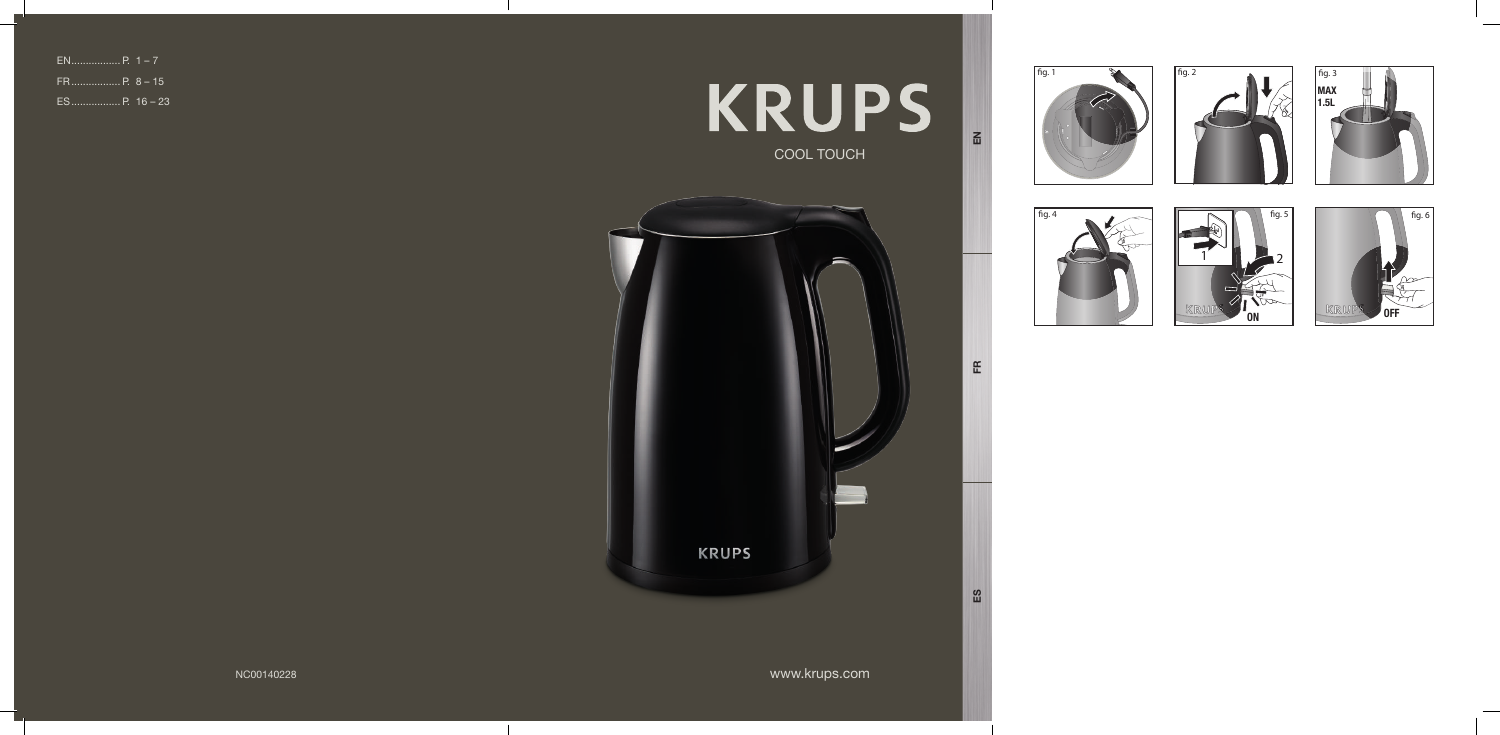# **KRUPS** COOL TOUCH

www.krups.com

EN



| ES P. 16 – 23 |  |
|---------------|--|



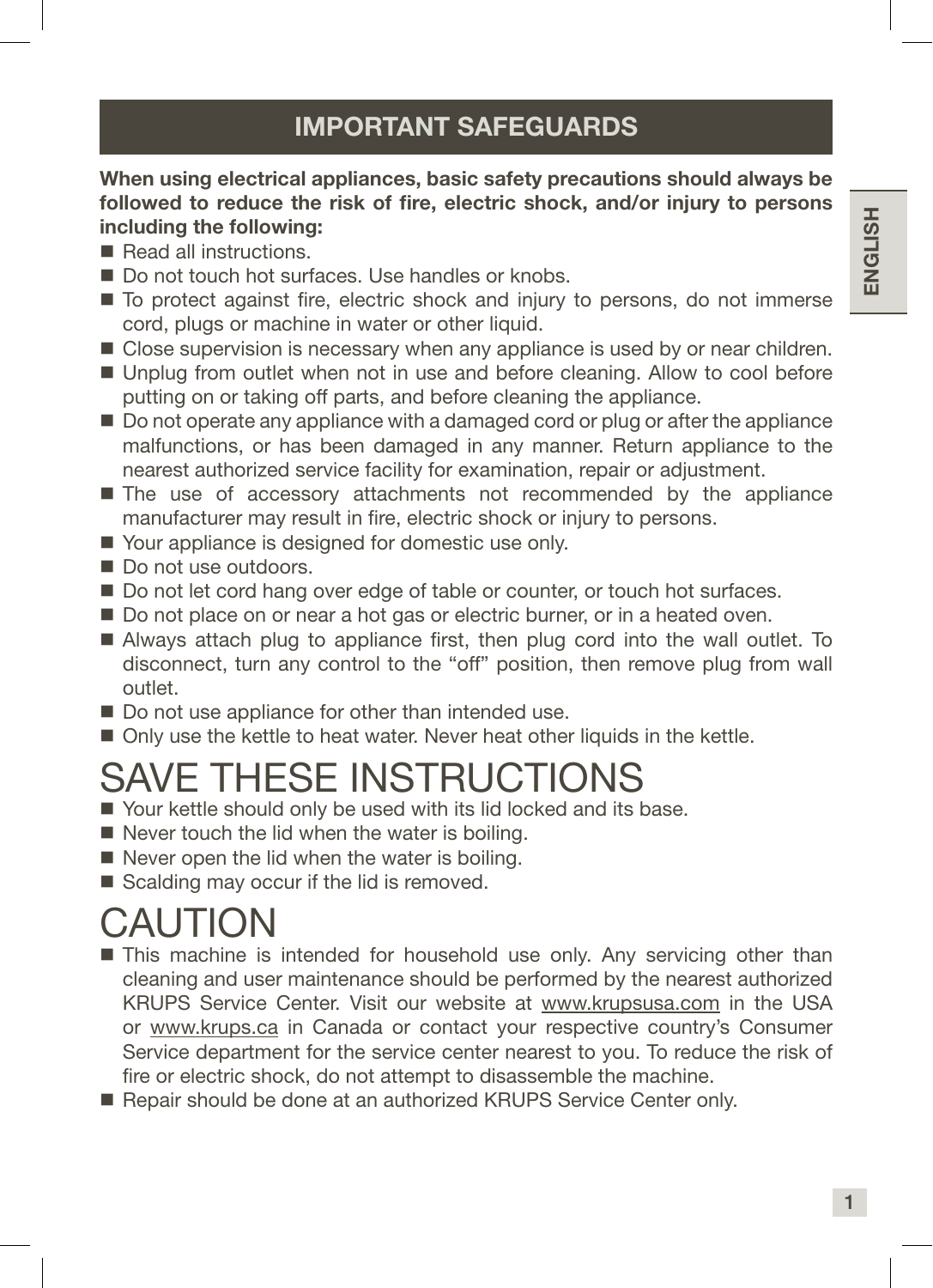### IMPORTANT SAFEGUARDS

#### When using electrical appliances, basic safety precautions should always be followed to reduce the risk of fire, electric shock, and/or injury to persons including the following:

- Read all instructions.
- Do not touch hot surfaces. Use handles or knobs.
- $\blacksquare$  To protect against fire, electric shock and injury to persons, do not immerse cord, plugs or machine in water or other liquid.
- **Close supervision is necessary when any appliance is used by or near children.**
- Unplug from outlet when not in use and before cleaning. Allow to cool before putting on or taking off parts, and before cleaning the appliance.
- Do not operate any appliance with a damaged cord or plug or after the appliance malfunctions, or has been damaged in any manner. Return appliance to the nearest authorized service facility for examination, repair or adjustment.
- The use of accessory attachments not recommended by the appliance manufacturer may result in fire, electric shock or injury to persons.
- Your appliance is designed for domestic use only.
- Do not use outdoors.
- Do not let cord hang over edge of table or counter, or touch hot surfaces.
- Do not place on or near a hot gas or electric burner, or in a heated oven.
- Always attach plug to appliance first, then plug cord into the wall outlet. To disconnect, turn any control to the "off" position, then remove plug from wall outlet.
- Do not use appliance for other than intended use.
- Only use the kettle to heat water. Never heat other liquids in the kettle.

## SAVE THESE INSTRUCTIONS

- Your kettle should only be used with its lid locked and its base.
- $\blacksquare$  Never touch the lid when the water is boiling.
- $\blacksquare$  Never open the lid when the water is boiling.
- Scalding may occur if the lid is removed.

## CAUTION

- **This machine is intended for household use only. Any servicing other than** cleaning and user maintenance should be performed by the nearest authorized KRUPS Service Center. Visit our website at www.krupsusa.com in the USA or www.krups.ca in Canada or contact your respective country's Consumer Service department for the service center nearest to you. To reduce the risk of fire or electric shock, do not attempt to disassemble the machine.
- Repair should be done at an authorized KRUPS Service Center only.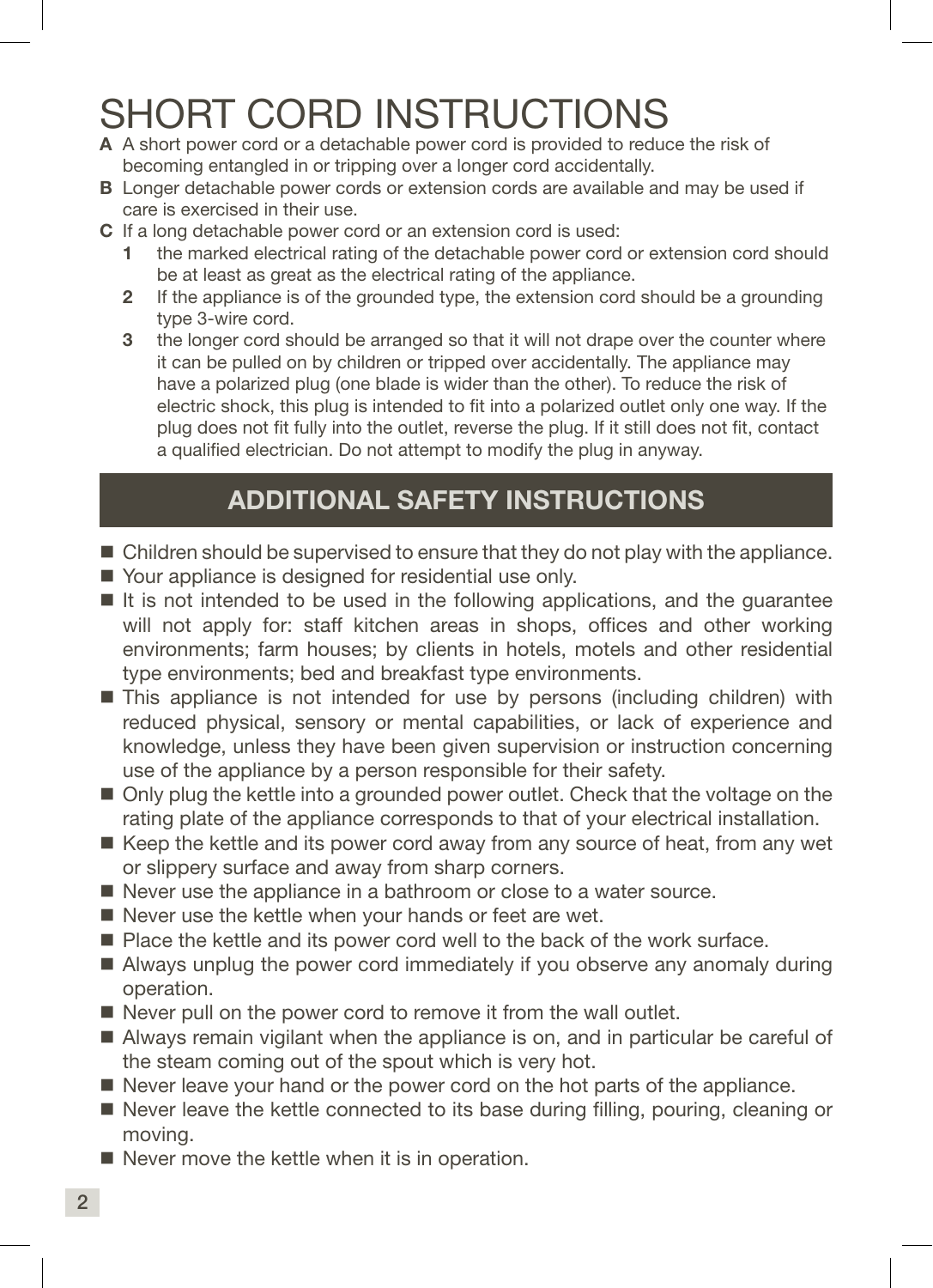## SHORT CORD INSTRUCTIONS

- A A short power cord or a detachable power cord is provided to reduce the risk of becoming entangled in or tripping over a longer cord accidentally.
- **B** Longer detachable power cords or extension cords are available and may be used if care is exercised in their use.
- C If a long detachable power cord or an extension cord is used:
	- the marked electrical rating of the detachable power cord or extension cord should be at least as great as the electrical rating of the appliance.
	- 2 If the appliance is of the grounded type, the extension cord should be a grounding type 3-wire cord.
	- 3 the longer cord should be arranged so that it will not drape over the counter where it can be pulled on by children or tripped over accidentally. The appliance may have a polarized plug (one blade is wider than the other). To reduce the risk of electric shock, this plug is intended to fit into a polarized outlet only one way. If the plug does not fit fully into the outlet, reverse the plug. If it still does not fit, contact a qualified electrician. Do not attempt to modify the plug in anyway.

### ADDITIONAL SAFETY INSTRUCTIONS

- Children should be supervised to ensure that they do not play with the appliance.
- Your appliance is designed for residential use only.
- $\blacksquare$  It is not intended to be used in the following applications, and the quarantee will not apply for: staff kitchen areas in shops, offices and other working environments; farm houses; by clients in hotels, motels and other residential type environments; bed and breakfast type environments.
- This appliance is not intended for use by persons (including children) with reduced physical, sensory or mental capabilities, or lack of experience and knowledge, unless they have been given supervision or instruction concerning use of the appliance by a person responsible for their safety.
- Only plug the kettle into a grounded power outlet. Check that the voltage on the rating plate of the appliance corresponds to that of your electrical installation.
- $\blacksquare$  Keep the kettle and its power cord away from any source of heat, from any wet or slippery surface and away from sharp corners.
- Never use the appliance in a bathroom or close to a water source.
- $\blacksquare$  Never use the kettle when your hands or feet are wet.
- **Place the kettle and its power cord well to the back of the work surface.**
- Always unplug the power cord immediately if you observe any anomaly during operation.
- Never pull on the power cord to remove it from the wall outlet.
- Always remain vigilant when the appliance is on, and in particular be careful of the steam coming out of the spout which is very hot.
- Never leave your hand or the power cord on the hot parts of the appliance.
- Never leave the kettle connected to its base during filling, pouring, cleaning or moving.
- $\blacksquare$  Never move the kettle when it is in operation.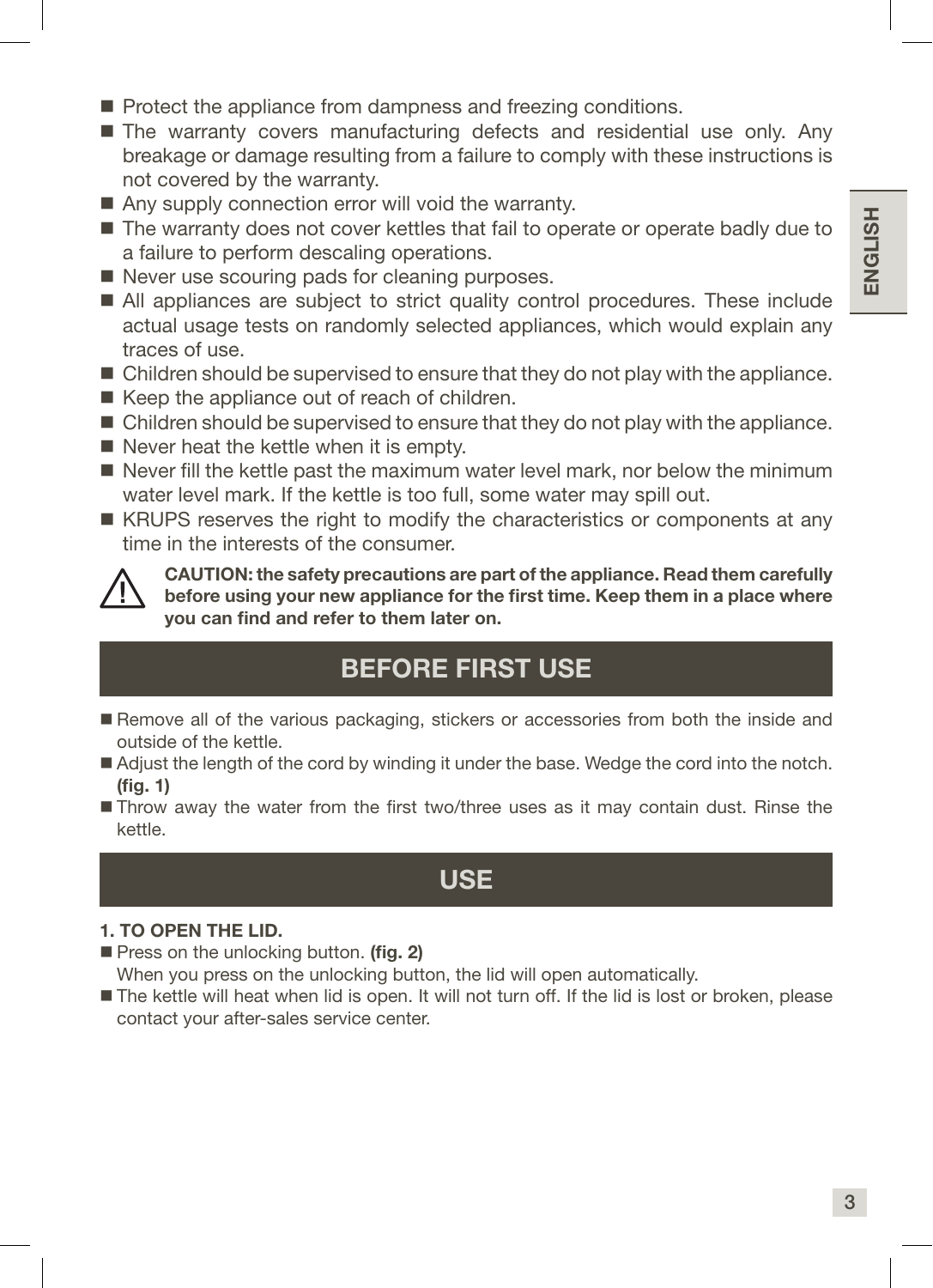- Protect the appliance from dampness and freezing conditions.
- The warranty covers manufacturing defects and residential use only. Any breakage or damage resulting from a failure to comply with these instructions is not covered by the warranty.
- Any supply connection error will void the warranty.
- The warranty does not cover kettles that fail to operate or operate badly due to a failure to perform descaling operations.
- Never use scouring pads for cleaning purposes.
- All appliances are subject to strict quality control procedures. These include actual usage tests on randomly selected appliances, which would explain any traces of use.
- Children should be supervised to ensure that they do not play with the appliance.
- Keep the appliance out of reach of children.
- Children should be supervised to ensure that they do not play with the appliance.
- Never heat the kettle when it is empty.
- $\blacksquare$  Never fill the kettle past the maximum water level mark, nor below the minimum water level mark. If the kettle is too full, some water may spill out.
- KRUPS reserves the right to modify the characteristics or components at any time in the interests of the consumer.



CAUTION: the safety precautions are part of the appliance. Read them carefully before using your new appliance for the first time. Keep them in a place where you can find and refer to them later on.

### BEFORE FIRST USE

- Remove all of the various packaging, stickers or accessories from both the inside and outside of the kettle.
- Adjust the length of the cord by winding it under the base. Wedge the cord into the notch. (fig. 1)
- Throw away the water from the first two/three uses as it may contain dust. Rinse the kettle.

### USE

#### 1. TO OPEN THE LID.

- Press on the unlocking button. (fig. 2) When you press on the unlocking button, the lid will open automatically.
- The kettle will heat when lid is open. It will not turn off. If the lid is lost or broken, please contact your after-sales service center.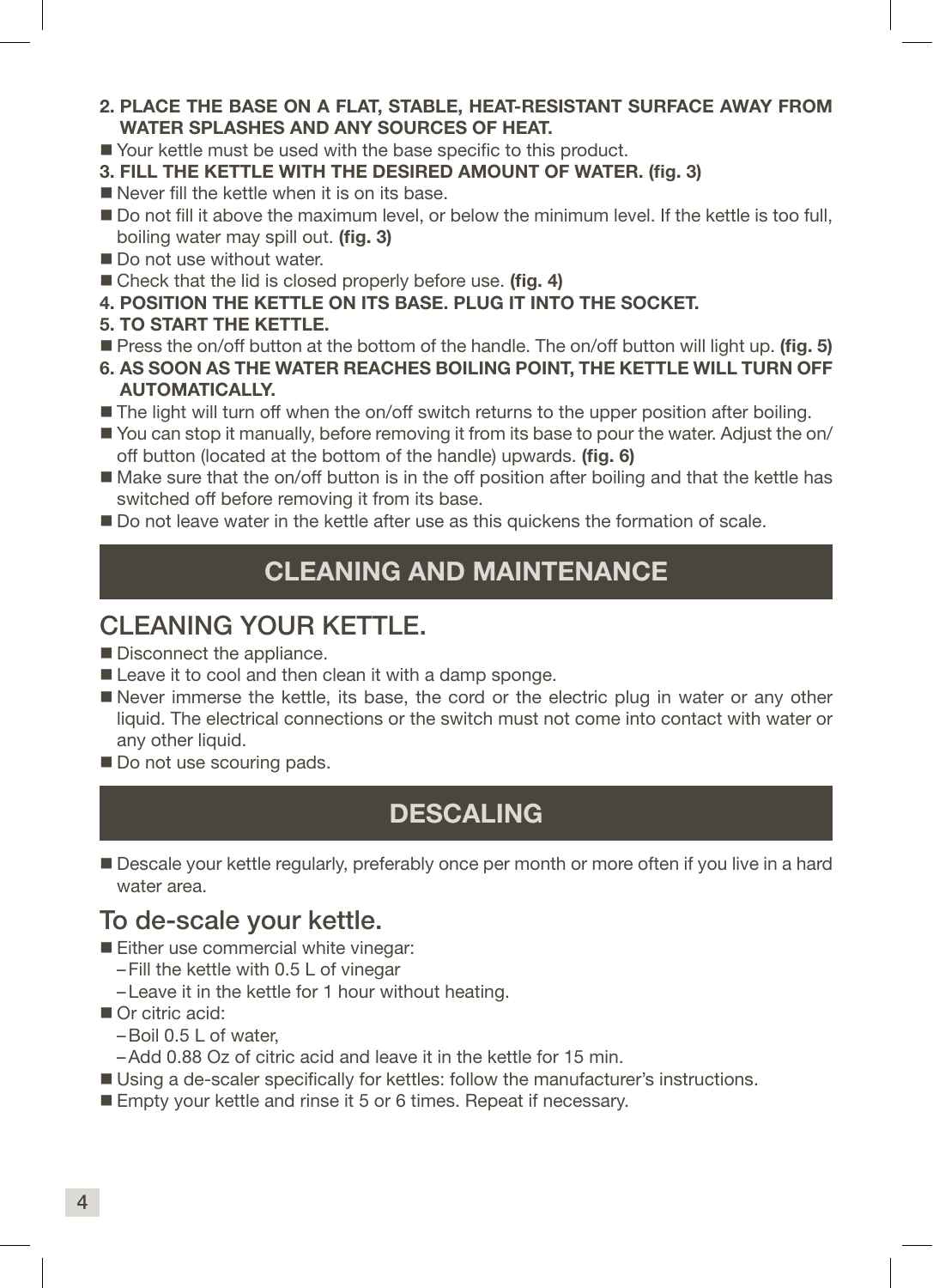- 2. PLACE THE BASE ON A FLAT, STABLE, HEAT-RESISTANT SURFACE AWAY FROM WATER SPLASHES AND ANY SOURCES OF HEAT.
- Your kettle must be used with the base specific to this product.
- 3. FILL THE KETTLE WITH THE DESIRED AMOUNT OF WATER. (fig. 3)
- $\blacksquare$  Never fill the kettle when it is on its base.
- Do not fill it above the maximum level, or below the minimum level. If the kettle is too full, boiling water may spill out. (fig. 3)
- Do not use without water.
- Check that the lid is closed properly before use. (fig. 4)
- 4. POSITION THE KETTLE ON ITS BASE. PLUG IT INTO THE SOCKET.
- 5. TO START THE KETTLE.
- **Press the on/off button at the bottom of the handle. The on/off button will light up. (fig. 5)**
- 6. AS SOON AS THE WATER REACHES BOILING POINT, THE KETTLE WILL TURN OFF AUTOMATICALLY.
- The light will turn off when the on/off switch returns to the upper position after boiling.
- You can stop it manually, before removing it from its base to pour the water. Adjust the on/ off button (located at the bottom of the handle) upwards. (fig. 6)
- Make sure that the on/off button is in the off position after boiling and that the kettle has switched off before removing it from its base.
- Do not leave water in the kettle after use as this quickens the formation of scale.

### CLEANING AND MAINTENANCE

### CLEANING YOUR KETTLE.

- Disconnect the appliance.
- Leave it to cool and then clean it with a damp sponge.
- Never immerse the kettle, its base, the cord or the electric plug in water or any other liquid. The electrical connections or the switch must not come into contact with water or any other liquid.
- Do not use scouring pads.

### DESCALING

Descale your kettle regularly, preferably once per month or more often if you live in a hard water area.

### To de-scale your kettle.

- Either use commercial white vinegar:
	- –Fill the kettle with 0.5 L of vinegar
	- –Leave it in the kettle for 1 hour without heating.
- Or citric acid:
	- –Boil 0.5 L of water,
	- –Add 0.88 Oz of citric acid and leave it in the kettle for 15 min.
- Using a de-scaler specifically for kettles: follow the manufacturer's instructions.
- Empty your kettle and rinse it 5 or 6 times. Repeat if necessary.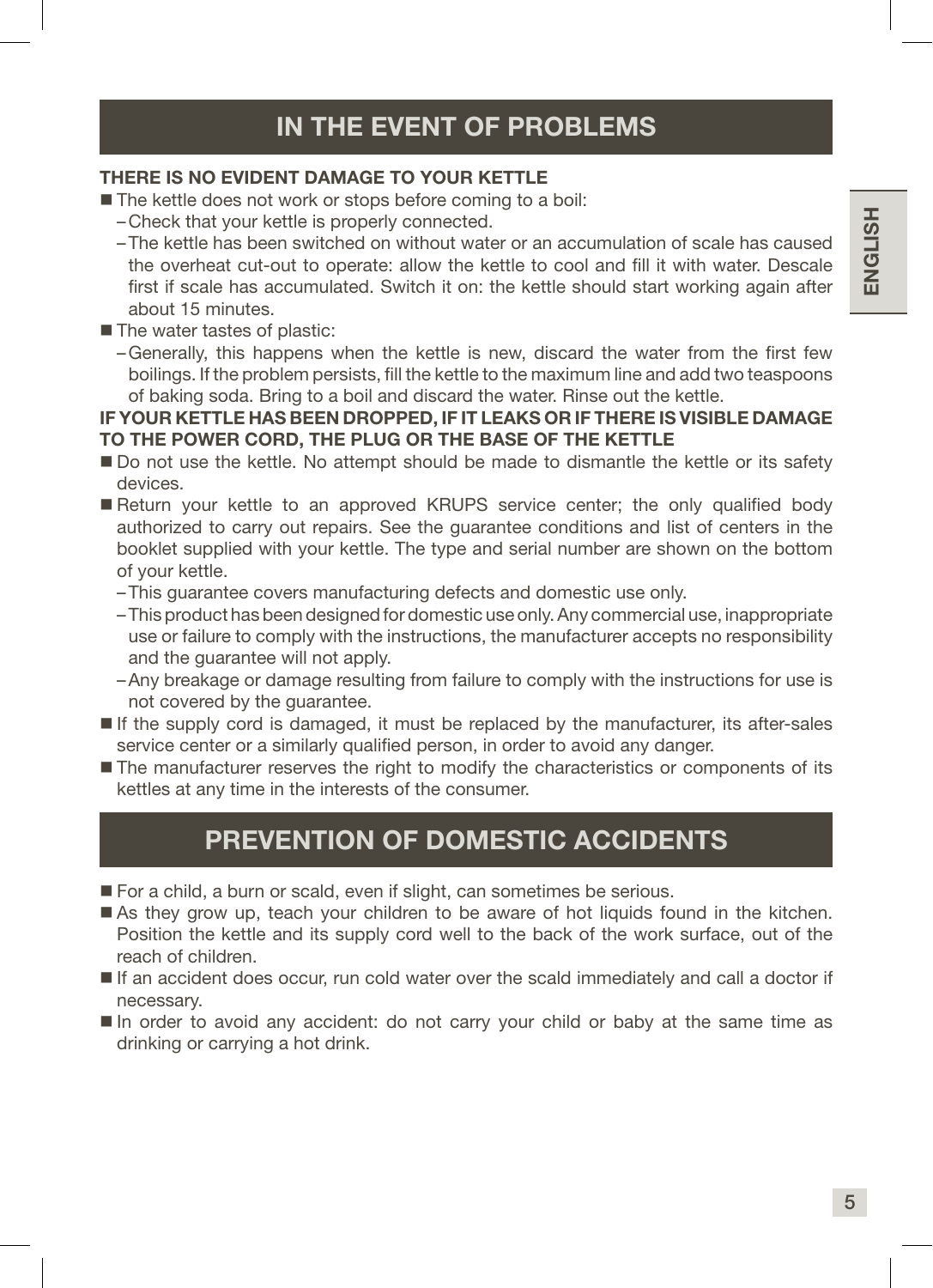#### THERE IS NO EVIDENT DAMAGE TO YOUR KETTLE

■ The kettle does not work or stops before coming to a boil:

- –Check that your kettle is properly connected.
- –The kettle has been switched on without water or an accumulation of scale has caused the overheat cut-out to operate: allow the kettle to cool and fill it with water. Descale first if scale has accumulated. Switch it on: the kettle should start working again after about 15 minutes.
- The water tastes of plastic:
	- –Generally, this happens when the kettle is new, discard the water from the first few boilings. If the problem persists, fill the kettle to the maximum line and add two teaspoons of baking soda. Bring to a boil and discard the water. Rinse out the kettle.

#### IF YOUR KETTLE HAS BEEN DROPPED, IF IT LEAKS OR IF THERE IS VISIBLE DAMAGE TO THE POWER CORD, THE PLUG OR THE BASE OF THE KETTLE

- Do not use the kettle. No attempt should be made to dismantle the kettle or its safety devices.
- Return your kettle to an approved KRUPS service center; the only qualified body authorized to carry out repairs. See the guarantee conditions and list of centers in the booklet supplied with your kettle. The type and serial number are shown on the bottom of your kettle.
	- –This guarantee covers manufacturing defects and domestic use only.
	- –This product has been designed for domestic use only. Any commercial use, inappropriate use or failure to comply with the instructions, the manufacturer accepts no responsibility and the guarantee will not apply.
	- –Any breakage or damage resulting from failure to comply with the instructions for use is not covered by the guarantee.
- If the supply cord is damaged, it must be replaced by the manufacturer, its after-sales service center or a similarly qualified person, in order to avoid any danger.
- The manufacturer reserves the right to modify the characteristics or components of its kettles at any time in the interests of the consumer.

### PREVENTION OF DOMESTIC ACCIDENTS

- For a child, a burn or scald, even if slight, can sometimes be serious.
- As they grow up, teach your children to be aware of hot liquids found in the kitchen. Position the kettle and its supply cord well to the back of the work surface, out of the reach of children.
- If an accident does occur, run cold water over the scald immediately and call a doctor if necessary.
- $\blacksquare$  In order to avoid any accident: do not carry your child or baby at the same time as drinking or carrying a hot drink.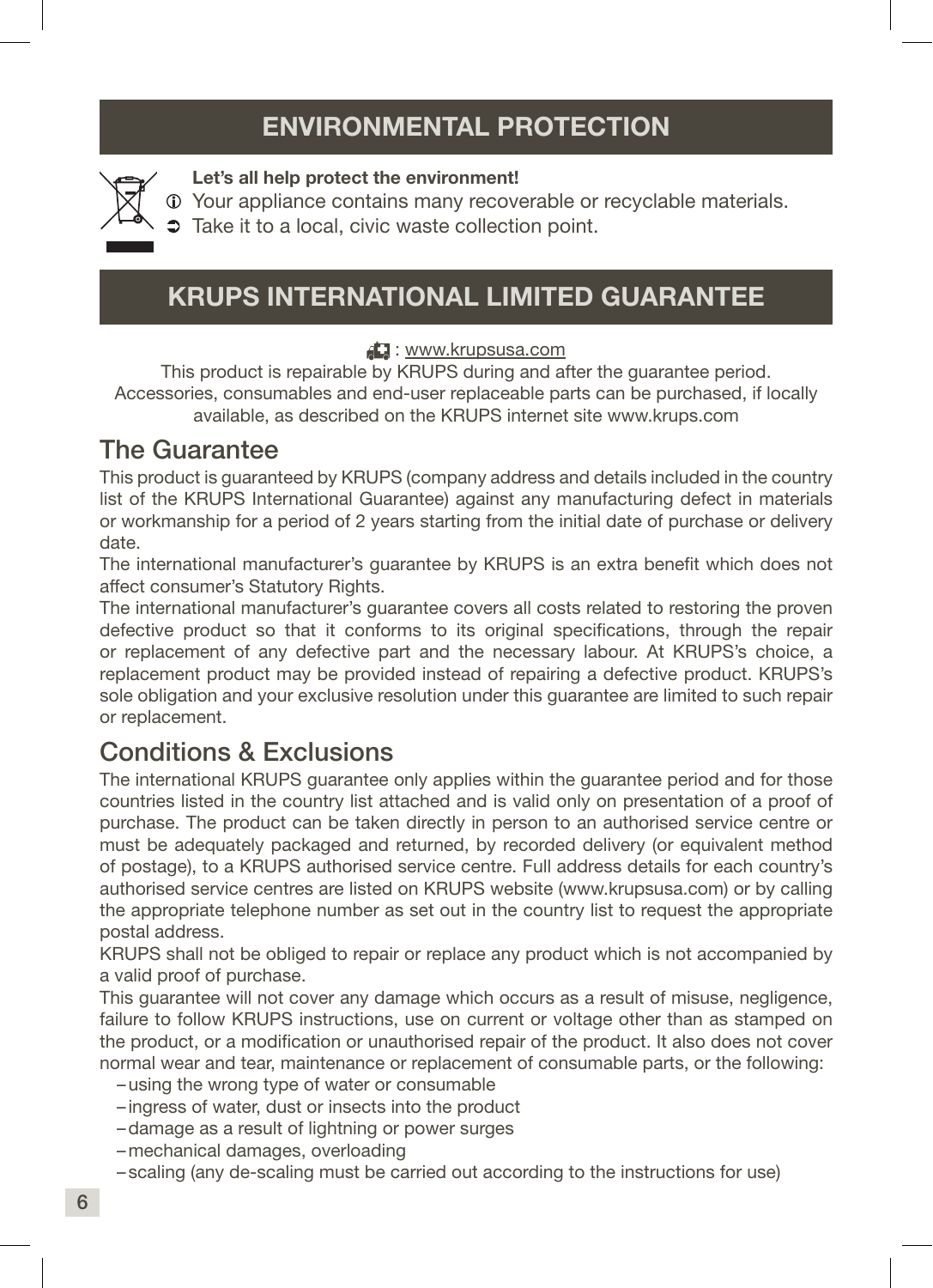### ENVIRONMENTAL PROTECTION



#### Let's all help protect the environment!

- Your appliance contains many recoverable or recyclable materials.
- $\supset$  Take it to a local, civic waste collection point.

### KRUPS INTERNATIONAL LIMITED GUARANTEE

#### : www.krupsusa.com

This product is repairable by KRUPS during and after the guarantee period. Accessories, consumables and end-user replaceable parts can be purchased, if locally available, as described on the KRUPS internet site www.krups.com

### The Guarantee

This product is guaranteed by KRUPS (company address and details included in the country list of the KRUPS International Guarantee) against any manufacturing defect in materials or workmanship for a period of 2 years starting from the initial date of purchase or delivery date.

The international manufacturer's guarantee by KRUPS is an extra benefit which does not affect consumer's Statutory Rights.

The international manufacturer's guarantee covers all costs related to restoring the proven defective product so that it conforms to its original specifications, through the repair or replacement of any defective part and the necessary labour. At KRUPS's choice, a replacement product may be provided instead of repairing a defective product. KRUPS's sole obligation and your exclusive resolution under this guarantee are limited to such repair or replacement.

### Conditions & Exclusions

The international KRUPS guarantee only applies within the guarantee period and for those countries listed in the country list attached and is valid only on presentation of a proof of purchase. The product can be taken directly in person to an authorised service centre or must be adequately packaged and returned, by recorded delivery (or equivalent method of postage), to a KRUPS authorised service centre. Full address details for each country's authorised service centres are listed on KRUPS website (www.krupsusa.com) or by calling the appropriate telephone number as set out in the country list to request the appropriate postal address.

KRUPS shall not be obliged to repair or replace any product which is not accompanied by a valid proof of purchase.

This guarantee will not cover any damage which occurs as a result of misuse, negligence, failure to follow KRUPS instructions, use on current or voltage other than as stamped on the product, or a modification or unauthorised repair of the product. It also does not cover normal wear and tear, maintenance or replacement of consumable parts, or the following:

- –using the wrong type of water or consumable
- ingress of water, dust or insects into the product
- –damage as a result of lightning or power surges
- –mechanical damages, overloading
- scaling (any de-scaling must be carried out according to the instructions for use)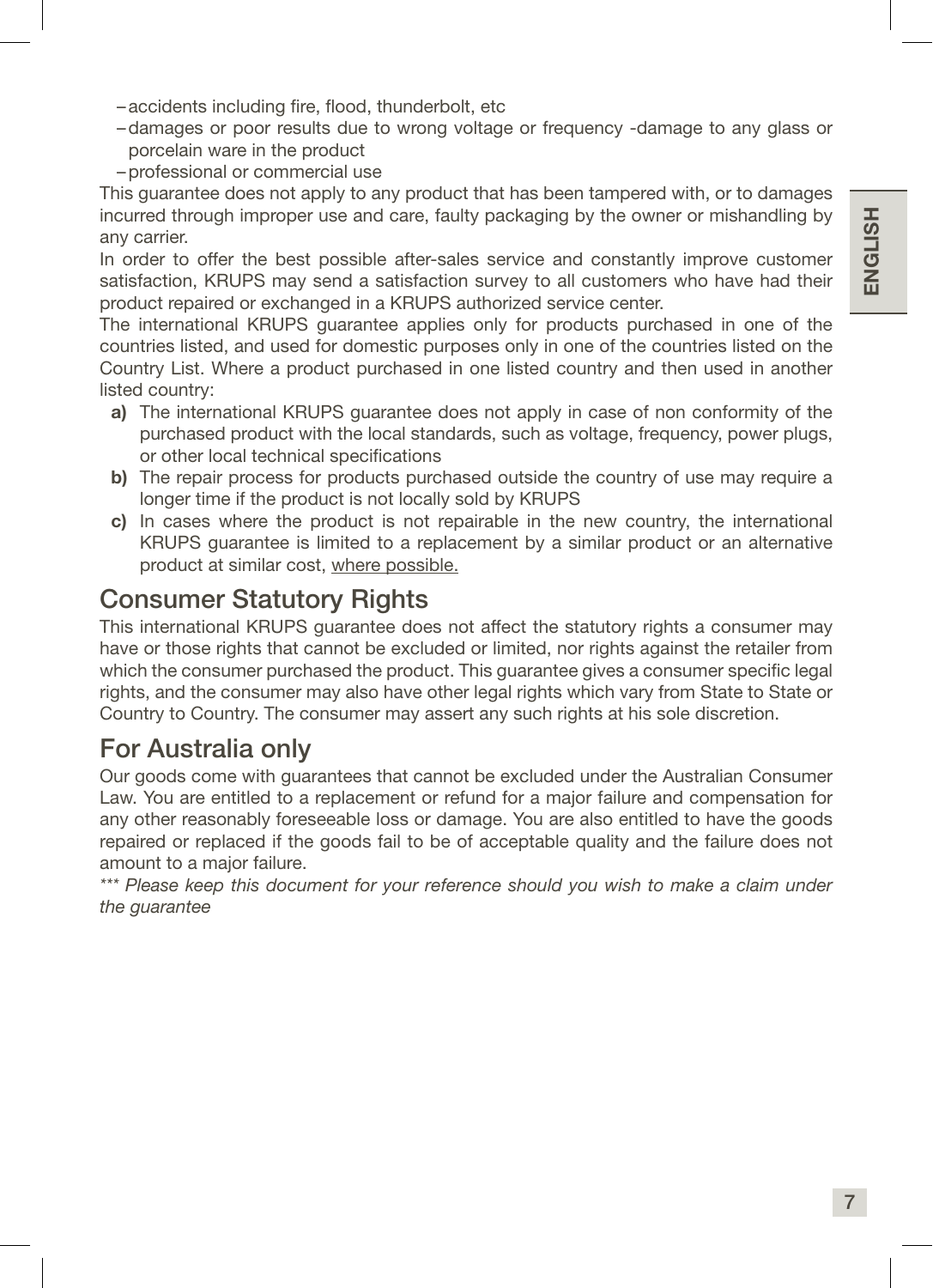- –accidents including fire, flood, thunderbolt, etc
- –damages or poor results due to wrong voltage or frequency -damage to any glass or porcelain ware in the product
- –professional or commercial use

This guarantee does not apply to any product that has been tampered with, or to damages incurred through improper use and care, faulty packaging by the owner or mishandling by any carrier.

In order to offer the best possible after-sales service and constantly improve customer satisfaction, KRUPS may send a satisfaction survey to all customers who have had their product repaired or exchanged in a KRUPS authorized service center.

The international KRUPS guarantee applies only for products purchased in one of the countries listed, and used for domestic purposes only in one of the countries listed on the Country List. Where a product purchased in one listed country and then used in another listed country:

- a) The international KRUPS guarantee does not apply in case of non conformity of the purchased product with the local standards, such as voltage, frequency, power plugs, or other local technical specifications
- b) The repair process for products purchased outside the country of use may require a longer time if the product is not locally sold by KRUPS
- c) In cases where the product is not repairable in the new country, the international KRUPS guarantee is limited to a replacement by a similar product or an alternative product at similar cost, where possible.

### Consumer Statutory Rights

This international KRUPS guarantee does not affect the statutory rights a consumer may have or those rights that cannot be excluded or limited, nor rights against the retailer from which the consumer purchased the product. This guarantee gives a consumer specific legal rights, and the consumer may also have other legal rights which vary from State to State or Country to Country. The consumer may assert any such rights at his sole discretion.

### For Australia only

Our goods come with guarantees that cannot be excluded under the Australian Consumer Law. You are entitled to a replacement or refund for a major failure and compensation for any other reasonably foreseeable loss or damage. You are also entitled to have the goods repaired or replaced if the goods fail to be of acceptable quality and the failure does not amount to a major failure.

*\*\*\* Please keep this document for your reference should you wish to make a claim under the guarantee*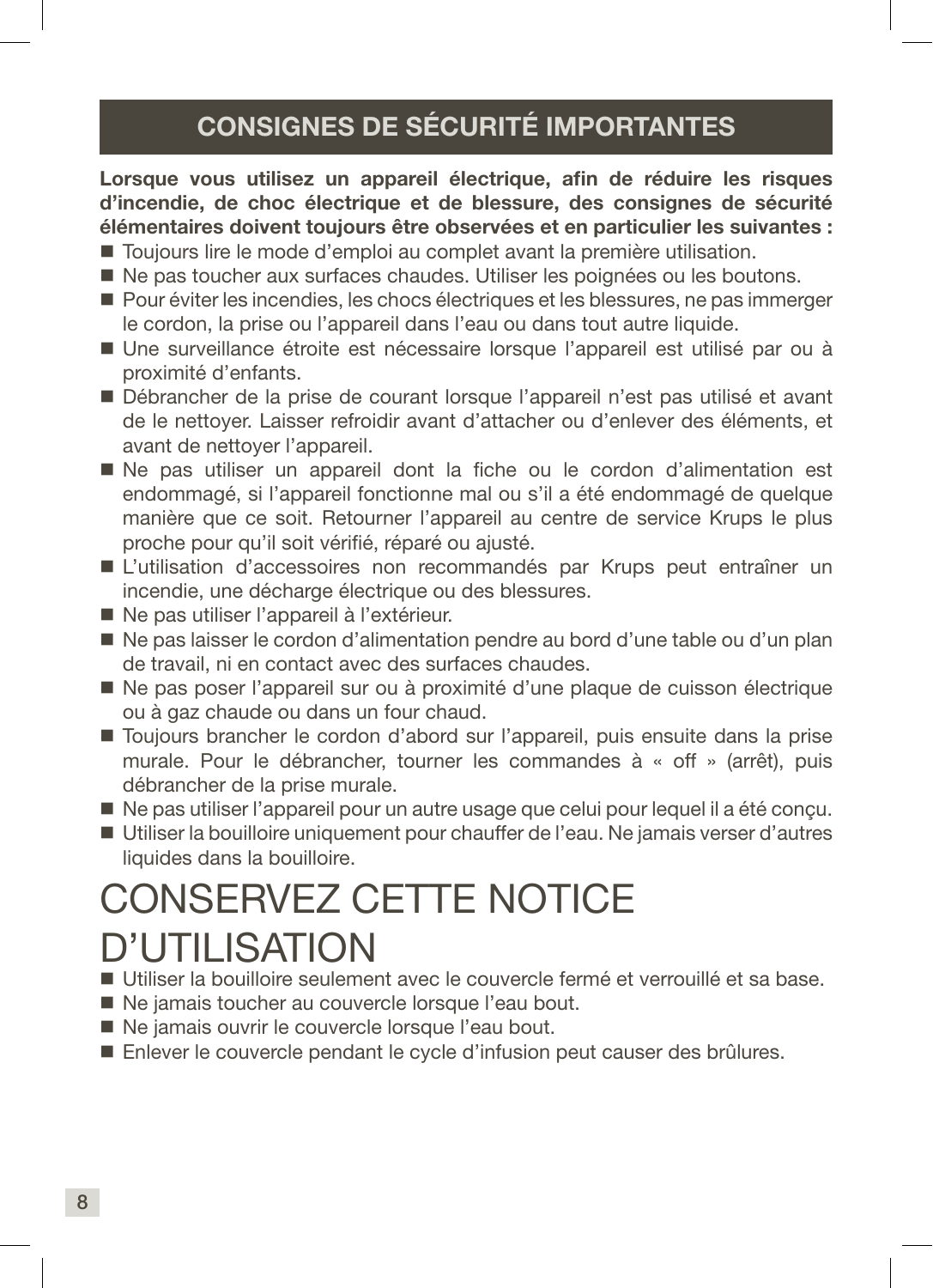### CONSIGNES DE SÉCURITÉ IMPORTANTES

Lorsque vous utilisez un appareil électrique, afin de réduire les risques d'incendie, de choc électrique et de blessure, des consignes de sécurité élémentaires doivent toujours être observées et en particulier les suivantes :

- Toujours lire le mode d'emploi au complet avant la première utilisation.
- Ne pas toucher aux surfaces chaudes. Utiliser les poignées ou les boutons.
- Pour éviter les incendies, les chocs électriques et les blessures, ne pas immerger le cordon, la prise ou l'appareil dans l'eau ou dans tout autre liquide.
- Une surveillance étroite est nécessaire lorsque l'appareil est utilisé par ou à proximité d'enfants.
- Débrancher de la prise de courant lorsque l'appareil n'est pas utilisé et avant de le nettoyer. Laisser refroidir avant d'attacher ou d'enlever des éléments, et avant de nettoyer l'appareil.
- Ne pas utiliser un appareil dont la fiche ou le cordon d'alimentation est endommagé, si l'appareil fonctionne mal ou s'il a été endommagé de quelque manière que ce soit. Retourner l'appareil au centre de service Krups le plus proche pour qu'il soit vérifié, réparé ou ajusté.
- L'utilisation d'accessoires non recommandés par Krups peut entraîner un incendie, une décharge électrique ou des blessures.
- Ne pas utiliser l'appareil à l'extérieur.
- $\blacksquare$  Ne pas laisser le cordon d'alimentation pendre au bord d'une table ou d'un plan de travail, ni en contact avec des surfaces chaudes.
- Ne pas poser l'appareil sur ou à proximité d'une plaque de cuisson électrique ou à gaz chaude ou dans un four chaud.
- Toujours brancher le cordon d'abord sur l'appareil, puis ensuite dans la prise murale. Pour le débrancher, tourner les commandes à « off » (arrêt), puis débrancher de la prise murale.
- Ne pas utiliser l'appareil pour un autre usage que celui pour lequel il a été conçu.
- Utiliser la bouilloire uniquement pour chauffer de l'eau. Ne jamais verser d'autres liquides dans la bouilloire.

## CONSERVEZ CETTE NOTICE D'UTILISATION

- Utiliser la bouilloire seulement avec le couvercle fermé et verrouillé et sa base.
- Ne jamais toucher au couvercle lorsque l'eau bout.
- Ne jamais ouvrir le couvercle lorsque l'eau bout.
- Enlever le couvercle pendant le cycle d'infusion peut causer des brûlures.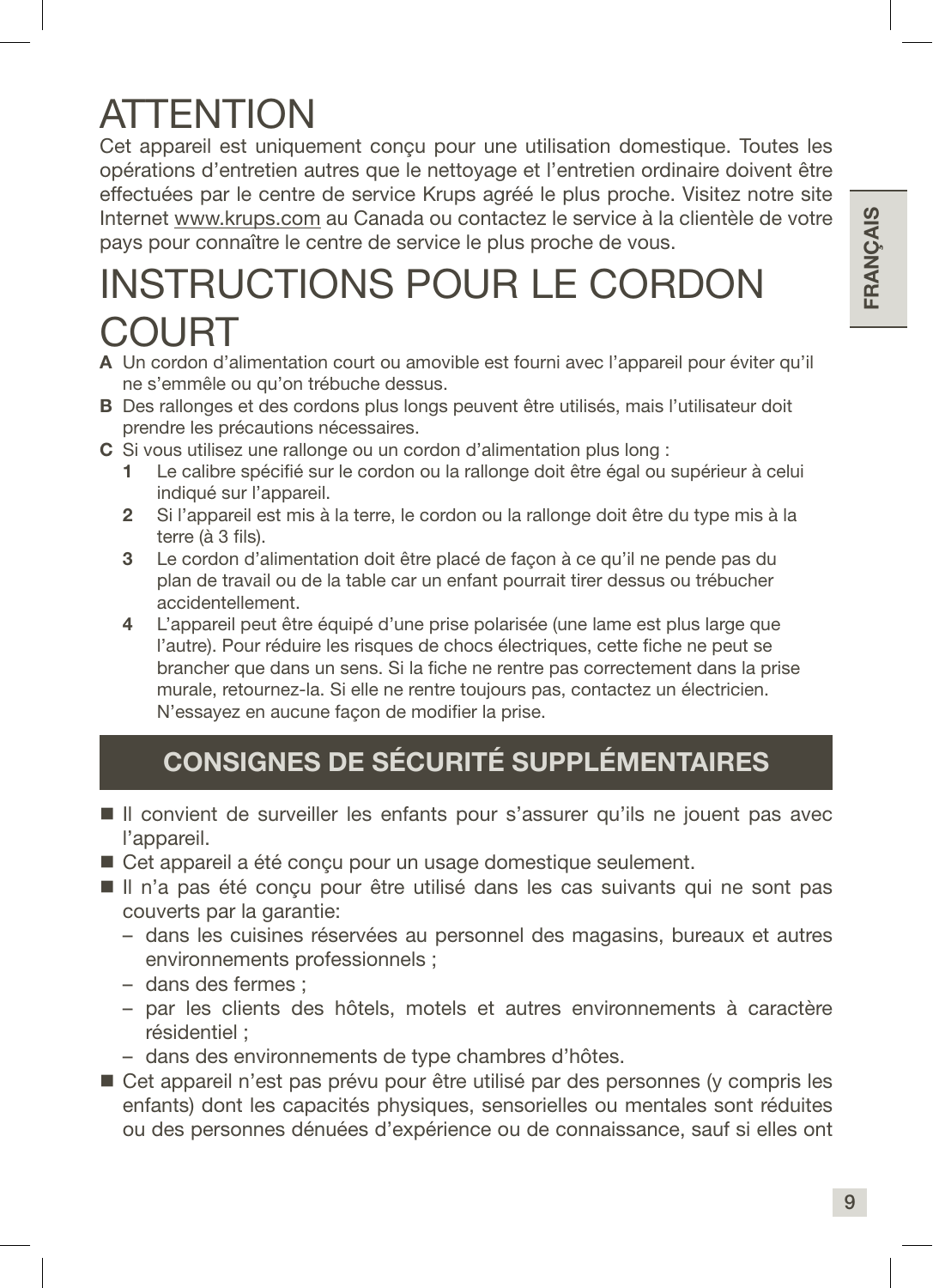## **ATTENTION**

Cet appareil est uniquement conçu pour une utilisation domestique. Toutes les opérations d'entretien autres que le nettoyage et l'entretien ordinaire doivent être effectuées par le centre de service Krups agréé le plus proche. Visitez notre site Internet www.krups.com au Canada ou contactez le service à la clientèle de votre pays pour connaître le centre de service le plus proche de vous.

## INSTRUCTIONS POUR LE CORDON **COURT**

- A Un cordon d'alimentation court ou amovible est fourni avec l'appareil pour éviter qu'il ne s'emmêle ou qu'on trébuche dessus.
- B Des rallonges et des cordons plus longs peuvent être utilisés, mais l'utilisateur doit prendre les précautions nécessaires.
- C Si vous utilisez une rallonge ou un cordon d'alimentation plus long :
	- 1 Le calibre spécifié sur le cordon ou la rallonge doit être égal ou supérieur à celui indiqué sur l'appareil.
	- 2 Si l'appareil est mis à la terre, le cordon ou la rallonge doit être du type mis à la terre (à 3 fils).
	- 3 Le cordon d'alimentation doit être placé de façon à ce qu'il ne pende pas du plan de travail ou de la table car un enfant pourrait tirer dessus ou trébucher accidentellement.
	- 4 L'appareil peut être équipé d'une prise polarisée (une lame est plus large que l'autre). Pour réduire les risques de chocs électriques, cette fiche ne peut se brancher que dans un sens. Si la fiche ne rentre pas correctement dans la prise murale, retournez-la. Si elle ne rentre toujours pas, contactez un électricien. N'essayez en aucune façon de modifier la prise.

### CONSIGNES DE SÉCURITÉ SUPPLÉMENTAIRES

- Il convient de surveiller les enfants pour s'assurer qu'ils ne jouent pas avec l'appareil.
- Cet appareil a été conçu pour un usage domestique seulement.
- Il n'a pas été conçu pour être utilisé dans les cas suivants qui ne sont pas couverts par la garantie:
	- dans les cuisines réservées au personnel des magasins, bureaux et autres environnements professionnels ;
	- dans des fermes ;
	- par les clients des hôtels, motels et autres environnements à caractère résidentiel ;
	- dans des environnements de type chambres d'hôtes.
- Cet appareil n'est pas prévu pour être utilisé par des personnes (y compris les enfants) dont les capacités physiques, sensorielles ou mentales sont réduites ou des personnes dénuées d'expérience ou de connaissance, sauf si elles ont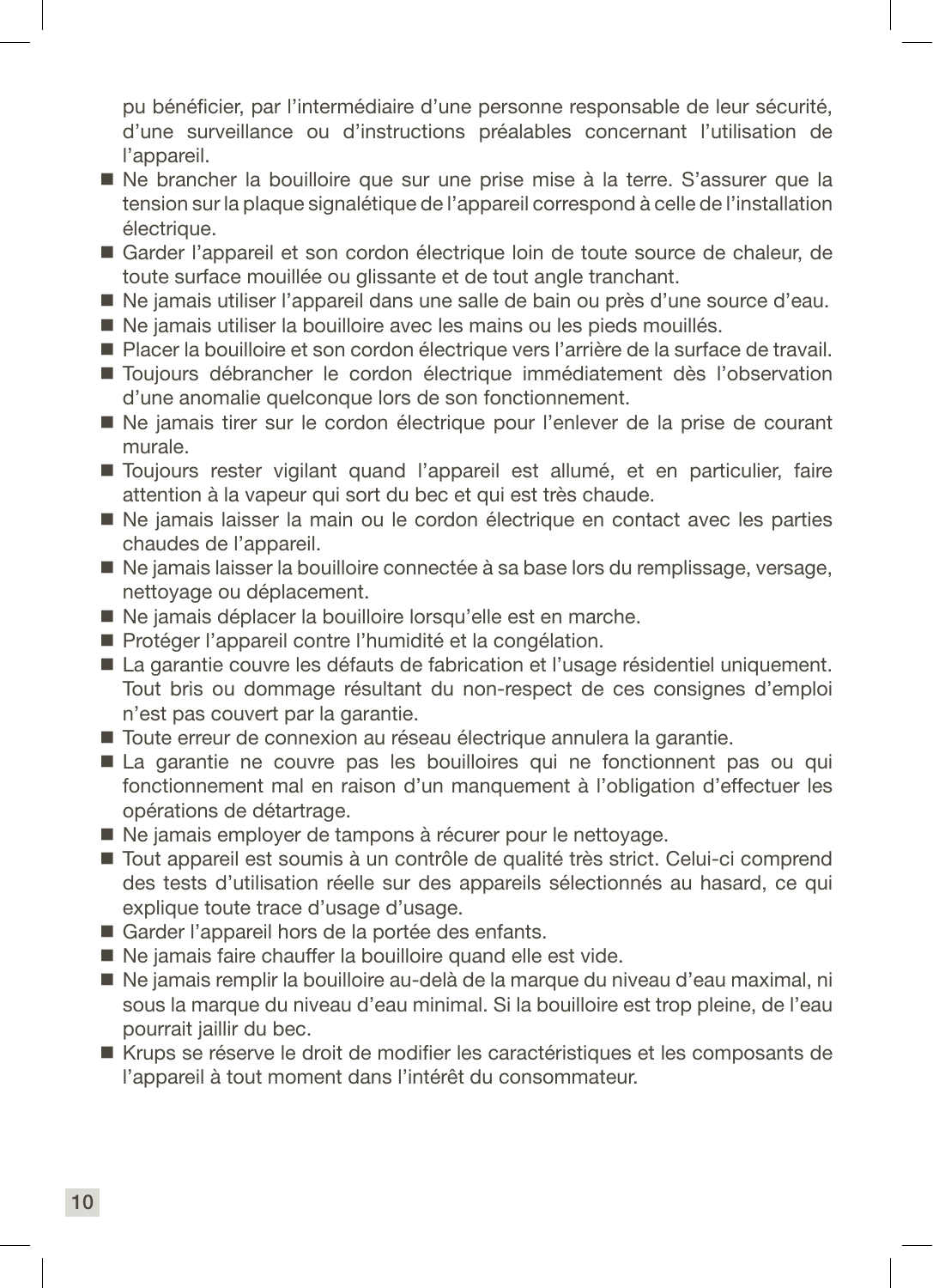pu bénéficier, par l'intermédiaire d'une personne responsable de leur sécurité, d'une surveillance ou d'instructions préalables concernant l'utilisation de l'appareil.

- Ne brancher la bouilloire que sur une prise mise à la terre. S'assurer que la tension sur la plaque signalétique de l'appareil correspond à celle de l'installation électrique.
- Garder l'appareil et son cordon électrique loin de toute source de chaleur, de toute surface mouillée ou glissante et de tout angle tranchant.
- Ne jamais utiliser l'appareil dans une salle de bain ou près d'une source d'eau.
- Ne jamais utiliser la bouilloire avec les mains ou les pieds mouillés.
- Placer la bouilloire et son cordon électrique vers l'arrière de la surface de travail.
- Toujours débrancher le cordon électrique immédiatement dès l'observation d'une anomalie quelconque lors de son fonctionnement.
- Ne jamais tirer sur le cordon électrique pour l'enlever de la prise de courant murale.
- Toujours rester vigilant quand l'appareil est allumé, et en particulier, faire attention à la vapeur qui sort du bec et qui est très chaude.
- Ne jamais laisser la main ou le cordon électrique en contact avec les parties chaudes de l'appareil.
- Ne jamais laisser la bouilloire connectée à sa base lors du remplissage, versage, nettoyage ou déplacement.
- Ne jamais déplacer la bouilloire lorsqu'elle est en marche.
- Protéger l'appareil contre l'humidité et la congélation.
- La garantie couvre les défauts de fabrication et l'usage résidentiel uniquement. Tout bris ou dommage résultant du non-respect de ces consignes d'emploi n'est pas couvert par la garantie.
- Toute erreur de connexion au réseau électrique annulera la garantie.
- La garantie ne couvre pas les bouilloires qui ne fonctionnent pas ou qui fonctionnement mal en raison d'un manquement à l'obligation d'effectuer les opérations de détartrage.
- Ne jamais employer de tampons à récurer pour le nettoyage.
- Tout appareil est soumis à un contrôle de qualité très strict. Celui-ci comprend des tests d'utilisation réelle sur des appareils sélectionnés au hasard, ce qui explique toute trace d'usage d'usage.
- Garder l'appareil hors de la portée des enfants.
- Ne jamais faire chauffer la bouilloire quand elle est vide.
- Ne jamais remplir la bouilloire au-delà de la marque du niveau d'eau maximal, ni sous la marque du niveau d'eau minimal. Si la bouilloire est trop pleine, de l'eau pourrait jaillir du bec.
- Krups se réserve le droit de modifier les caractéristiques et les composants de l'appareil à tout moment dans l'intérêt du consommateur.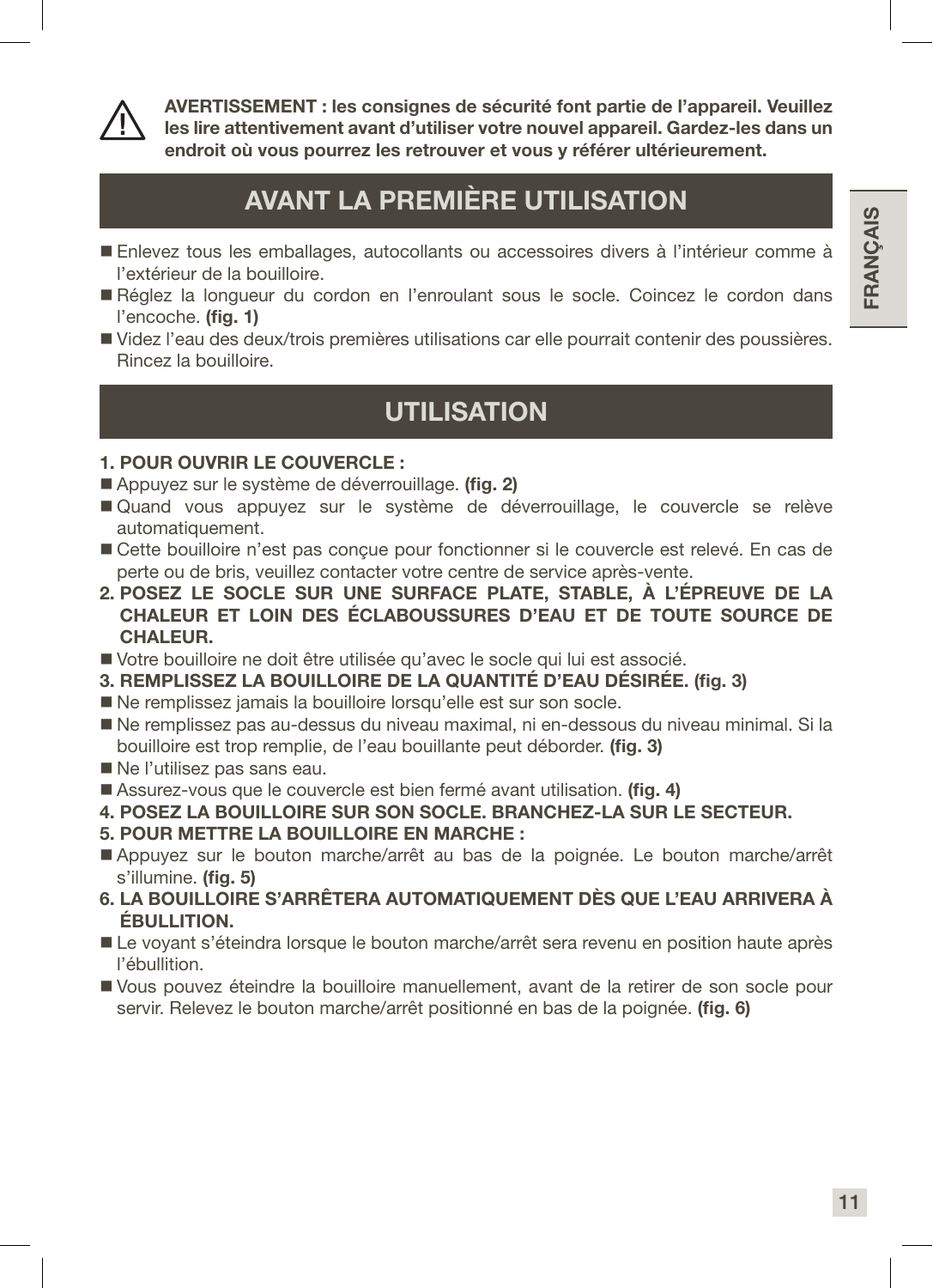



AVERTISSEMENT : les consignes de sécurité font partie de l'appareil. Veuillez les lire attentivement avant d'utiliser votre nouvel appareil. Gardez-les dans un endroit où vous pourrez les retrouver et vous y référer ultérieurement.

### AVANT LA PREMIÈRE UTILISATION

- Enlevez tous les emballages, autocollants ou accessoires divers à l'intérieur comme à l'extérieur de la bouilloire.
- Réglez la longueur du cordon en l'enroulant sous le socle. Coincez le cordon dans l'encoche. (fig. 1)
- Videz l'eau des deux/trois premières utilisations car elle pourrait contenir des poussières. Rincez la bouilloire.

### **UTILISATION**

#### 1. POUR OUVRIR LE COUVERCLE :

- Appuyez sur le système de déverrouillage. (fig. 2)
- Quand vous appuyez sur le système de déverrouillage, le couvercle se relève automatiquement.
- Cette bouilloire n'est pas concue pour fonctionner si le couvercle est relevé. En cas de perte ou de bris, veuillez contacter votre centre de service après-vente.
- 2. POSEZ LE SOCLE SUR UNE SURFACE PLATE, STABLE, À L'ÉPREUVE DE LA CHALEUR ET LOIN DES ÉCLABOUSSURES D'EAU ET DE TOUTE SOURCE DE CHALEUR.
- Votre bouilloire ne doit être utilisée qu'avec le socle qui lui est associé.
- 3. REMPLISSEZ LA BOUILLOIRE DE LA QUANTITÉ D'EAU DÉSIRÉE. (fig. 3)
- Ne remplissez jamais la bouilloire lorsqu'elle est sur son socle.
- Ne remplissez pas au-dessus du niveau maximal, ni en-dessous du niveau minimal. Si la bouilloire est trop remplie, de l'eau bouillante peut déborder. (fig. 3)
- Ne l'utilisez pas sans eau.
- Assurez-vous que le couvercle est bien fermé avant utilisation. (fig. 4)
- 4. POSEZ LA BOUILLOIRE SUR SON SOCLE. BRANCHEZ-LA SUR LE SECTEUR.
- 5. POUR METTRE LA BOUILLOIRE EN MARCHE :
- Appuyez sur le bouton marche/arrêt au bas de la poignée. Le bouton marche/arrêt s'illumine. (fig. 5)
- 6. LA BOUILLOIRE S'ARRÊTERA AUTOMATIQUEMENT DÈS QUE L'EAU ARRIVERA À ÉBULLITION.
- Le voyant s'éteindra lorsque le bouton marche/arrêt sera revenu en position haute après l'ébullition.
- Vous pouvez éteindre la bouilloire manuellement, avant de la retirer de son socle pour servir. Relevez le bouton marche/arrêt positionné en bas de la poignée. (fig. 6)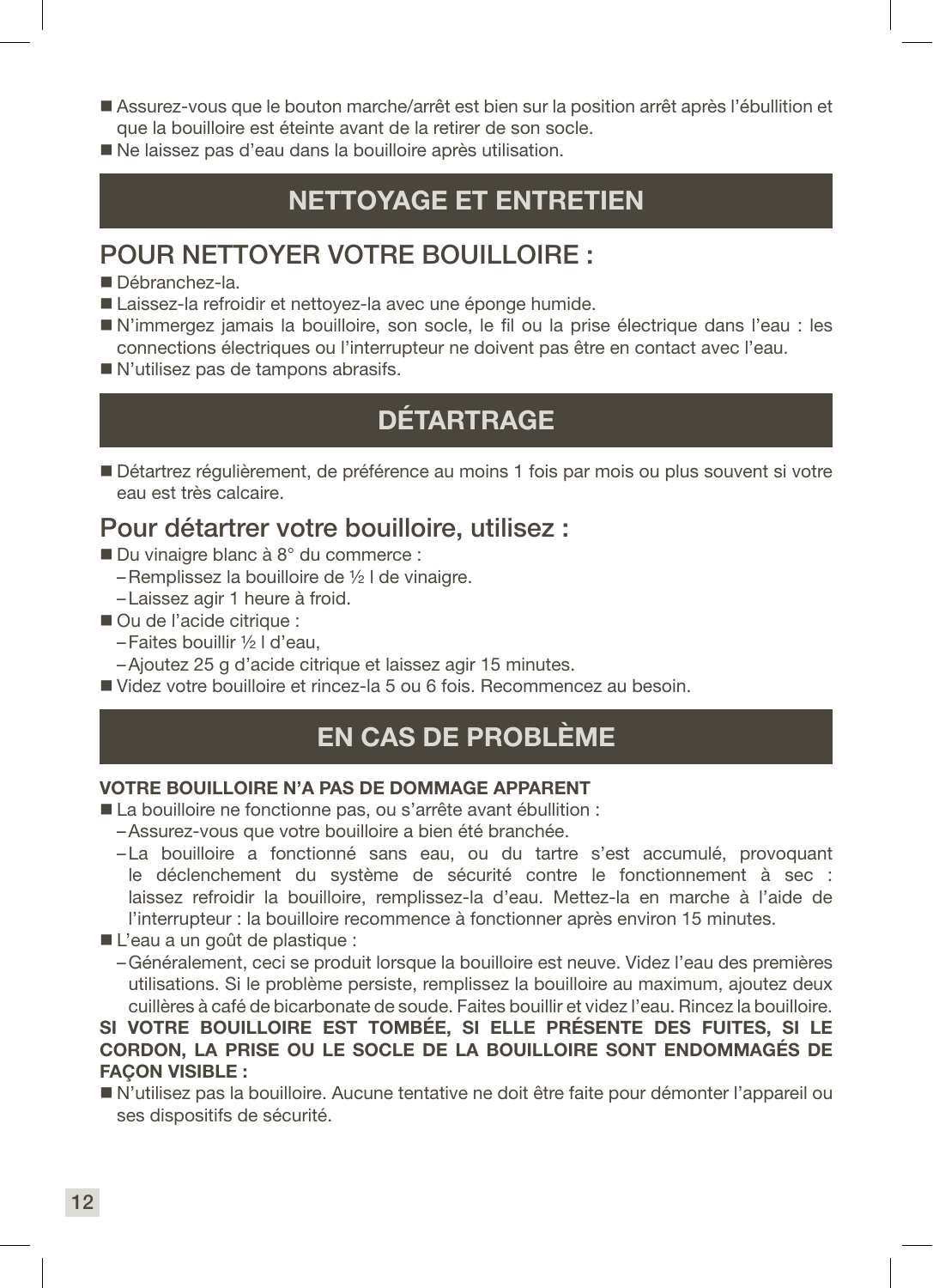- Assurez-vous que le bouton marche/arrêt est bien sur la position arrêt après l'ébullition et que la bouilloire est éteinte avant de la retirer de son socle.
- Ne laissez pas d'eau dans la bouilloire après utilisation.

### NETTOYAGE ET ENTRETIEN

### POUR NETTOYER VOTRE BOUILLOIRE :

- Débranchez-la.
- Laissez-la refroidir et nettoyez-la avec une éponge humide.
- N'immergez jamais la bouilloire, son socle, le fil ou la prise électrique dans l'eau : les connections électriques ou l'interrupteur ne doivent pas être en contact avec l'eau.
- N'utilisez pas de tampons abrasifs.

### **DÉTARTRAGE**

 Détartrez régulièrement, de préférence au moins 1 fois par mois ou plus souvent si votre eau est très calcaire.

### Pour détartrer votre bouilloire, utilisez :

- Du vinaigre blanc à 8° du commerce :
	- –Remplissez la bouilloire de ½ l de vinaigre.
	- –Laissez agir 1 heure à froid.
- Ou de l'acide citrique :
	- –Faites bouillir ½ l d'eau,
	- –Ajoutez 25 g d'acide citrique et laissez agir 15 minutes.
- Videz votre bouilloire et rincez-la 5 ou 6 fois. Recommencez au besoin.

### EN CAS DE PROBLÈME

#### VOTRE BOUILLOIRE N'A PAS DE DOMMAGE APPARENT

- La bouilloire ne fonctionne pas, ou s'arrête avant ébullition :
	- –Assurez-vous que votre bouilloire a bien été branchée.
	- –La bouilloire a fonctionné sans eau, ou du tartre s'est accumulé, provoquant le déclenchement du système de sécurité contre le fonctionnement à sec : laissez refroidir la bouilloire, remplissez-la d'eau. Mettez-la en marche à l'aide de l'interrupteur : la bouilloire recommence à fonctionner après environ 15 minutes.
- L'eau a un goût de plastique :
	- –Généralement, ceci se produit lorsque la bouilloire est neuve. Videz l'eau des premières utilisations. Si le problème persiste, remplissez la bouilloire au maximum, ajoutez deux cuillères à café de bicarbonate de soude. Faites bouillir et videz l'eau. Rincez la bouilloire.

#### SI VOTRE BOUILLOIRE EST TOMBÉE, SI ELLE PRÉSENTE DES FUITES, SI LE CORDON, LA PRISE OU LE SOCLE DE LA BOUILLOIRE SONT ENDOMMAGÉS DE **FACON VISIBLE :**

 N'utilisez pas la bouilloire. Aucune tentative ne doit être faite pour démonter l'appareil ou ses dispositifs de sécurité.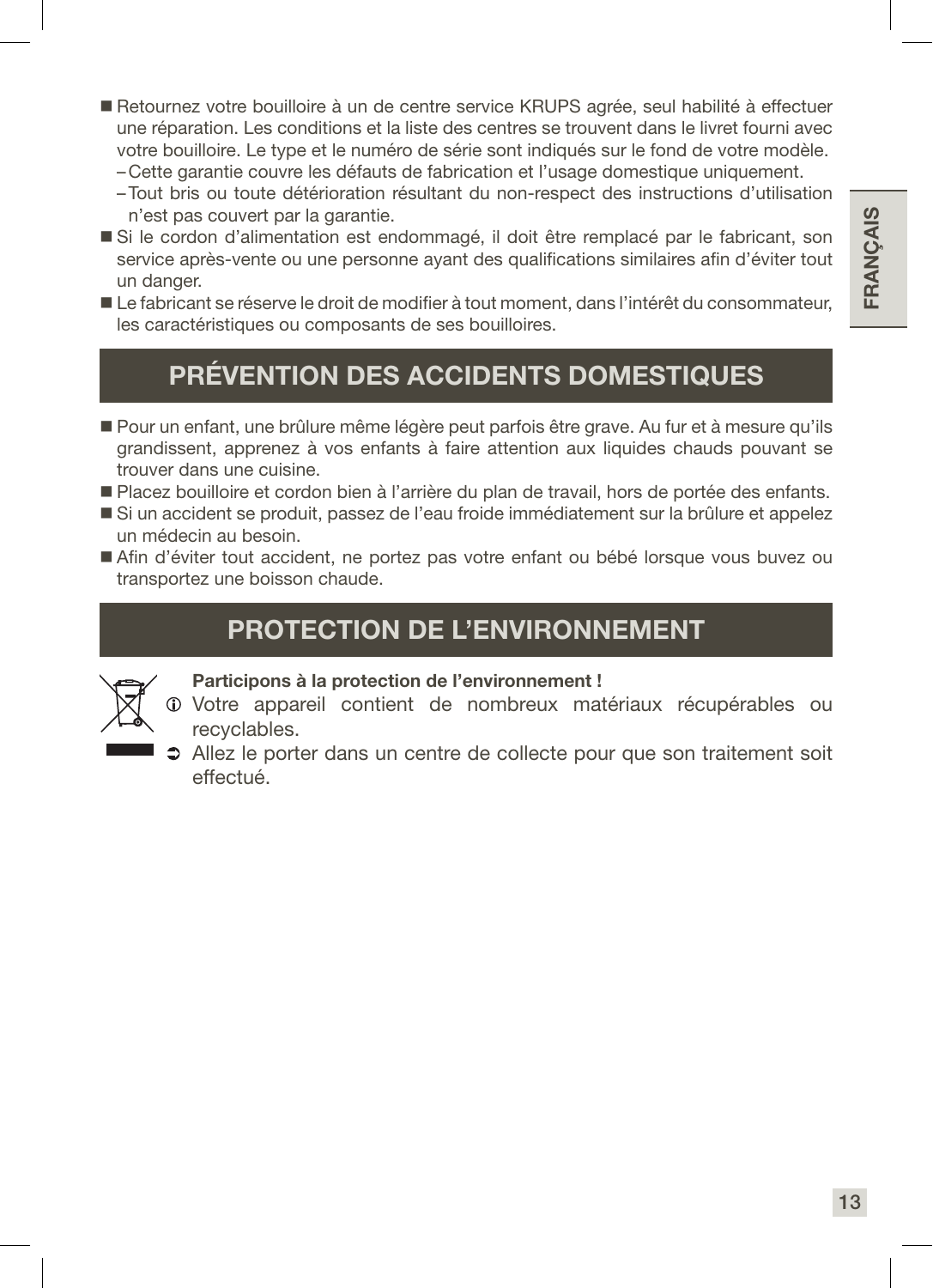- Retournez votre bouilloire à un de centre service KRUPS agrée, seul habilité à effectuer une réparation. Les conditions et la liste des centres se trouvent dans le livret fourni avec votre bouilloire. Le type et le numéro de série sont indiqués sur le fond de votre modèle.
	- –Cette garantie couvre les défauts de fabrication et l'usage domestique uniquement.
	- –Tout bris ou toute détérioration résultant du non-respect des instructions d'utilisation n'est pas couvert par la garantie.
- Si le cordon d'alimentation est endommagé, il doit être remplacé par le fabricant, son service après-vente ou une personne ayant des qualifications similaires afin d'éviter tout un danger.
- Le fabricant se réserve le droit de modifier à tout moment, dans l'intérêt du consommateur, les caractéristiques ou composants de ses bouilloires.

### PRÉVENTION DES ACCIDENTS DOMESTIQUES

- Pour un enfant, une brûlure même légère peut parfois être grave. Au fur et à mesure qu'ils grandissent, apprenez à vos enfants à faire attention aux liquides chauds pouvant se trouver dans une cuisine.
- Placez bouilloire et cordon bien à l'arrière du plan de travail, hors de portée des enfants.
- Si un accident se produit, passez de l'eau froide immédiatement sur la brûlure et appelez un médecin au besoin.
- Afin d'éviter tout accident, ne portez pas votre enfant ou bébé lorsque vous buvez ou transportez une boisson chaude.

### PROTECTION DE L'ENVIRONNEMENT



#### Participons à la protection de l'environnement !

- Votre appareil contient de nombreux matériaux récupérables ou recyclables.
- Allez le porter dans un centre de collecte pour que son traitement soit effectué.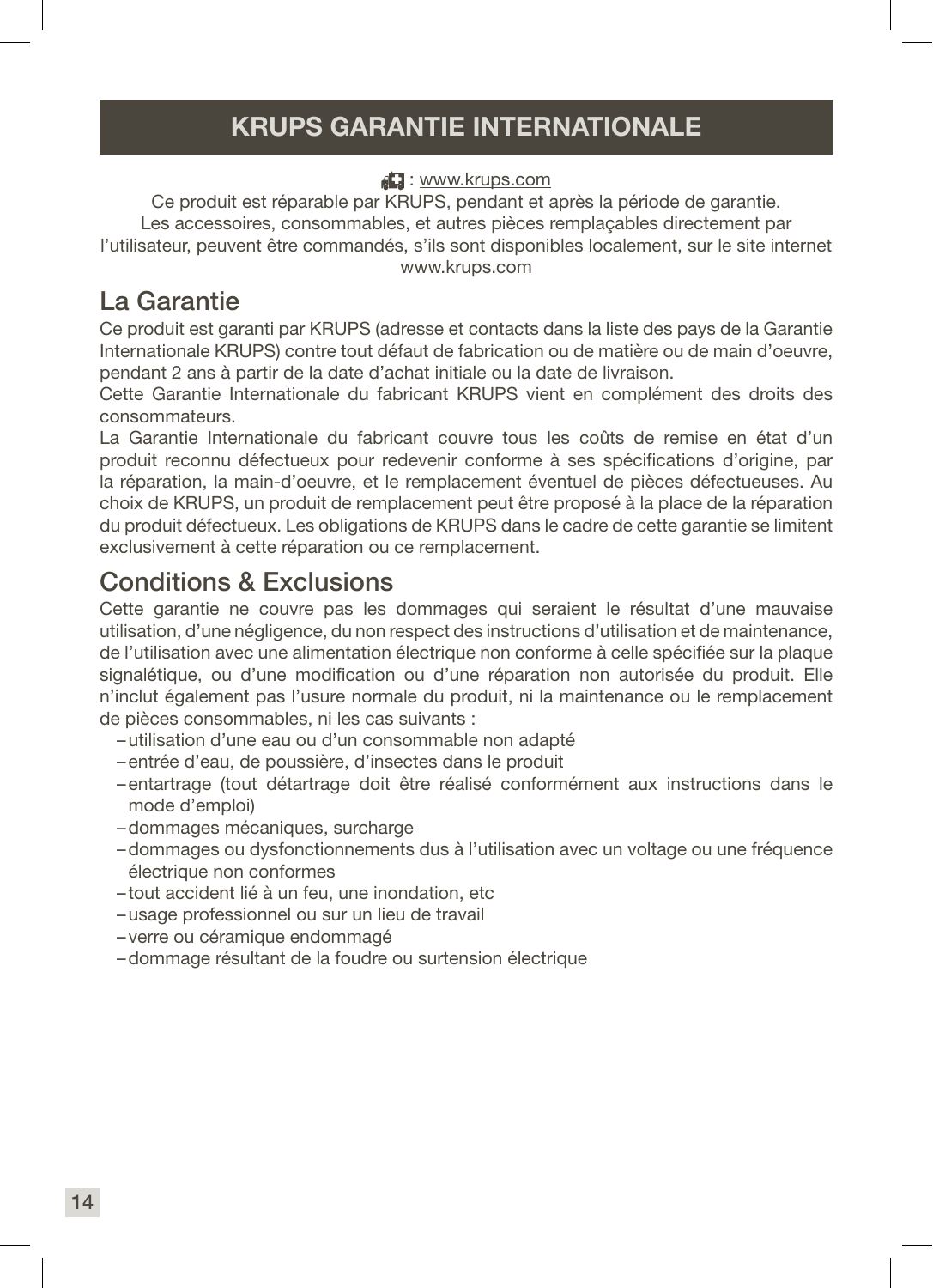### KRUPS GARANTIE INTERNATIONALE

#### : www.krups.com

Ce produit est réparable par KRUPS, pendant et après la période de garantie. Les accessoires, consommables, et autres pièces remplaçables directement par l'utilisateur, peuvent être commandés, s'ils sont disponibles localement, sur le site internet www.krups.com

### La Garantie

Ce produit est garanti par KRUPS (adresse et contacts dans la liste des pays de la Garantie Internationale KRUPS) contre tout défaut de fabrication ou de matière ou de main d'oeuvre, pendant 2 ans à partir de la date d'achat initiale ou la date de livraison.

Cette Garantie Internationale du fabricant KRUPS vient en complément des droits des consommateurs.

La Garantie Internationale du fabricant couvre tous les coûts de remise en état d'un produit reconnu défectueux pour redevenir conforme à ses spécifications d'origine, par la réparation, la main-d'oeuvre, et le remplacement éventuel de pièces défectueuses. Au choix de KRUPS, un produit de remplacement peut être proposé à la place de la réparation du produit défectueux. Les obligations de KRUPS dans le cadre de cette garantie se limitent exclusivement à cette réparation ou ce remplacement.

### Conditions & Exclusions

Cette garantie ne couvre pas les dommages qui seraient le résultat d'une mauvaise utilisation, d'une négligence, du non respect des instructions d'utilisation et de maintenance, de l'utilisation avec une alimentation électrique non conforme à celle spécifiée sur la plaque signalétique, ou d'une modification ou d'une réparation non autorisée du produit. Elle n'inclut également pas l'usure normale du produit, ni la maintenance ou le remplacement de pièces consommables, ni les cas suivants :

- –utilisation d'une eau ou d'un consommable non adapté
- –entrée d'eau, de poussière, d'insectes dans le produit
- –entartrage (tout détartrage doit être réalisé conformément aux instructions dans le mode d'emploi)
- –dommages mécaniques, surcharge
- –dommages ou dysfonctionnements dus à l'utilisation avec un voltage ou une fréquence électrique non conformes
- tout accident lié à un feu, une inondation, etc
- –usage professionnel ou sur un lieu de travail
- verre ou céramique endommagé
- –dommage résultant de la foudre ou surtension électrique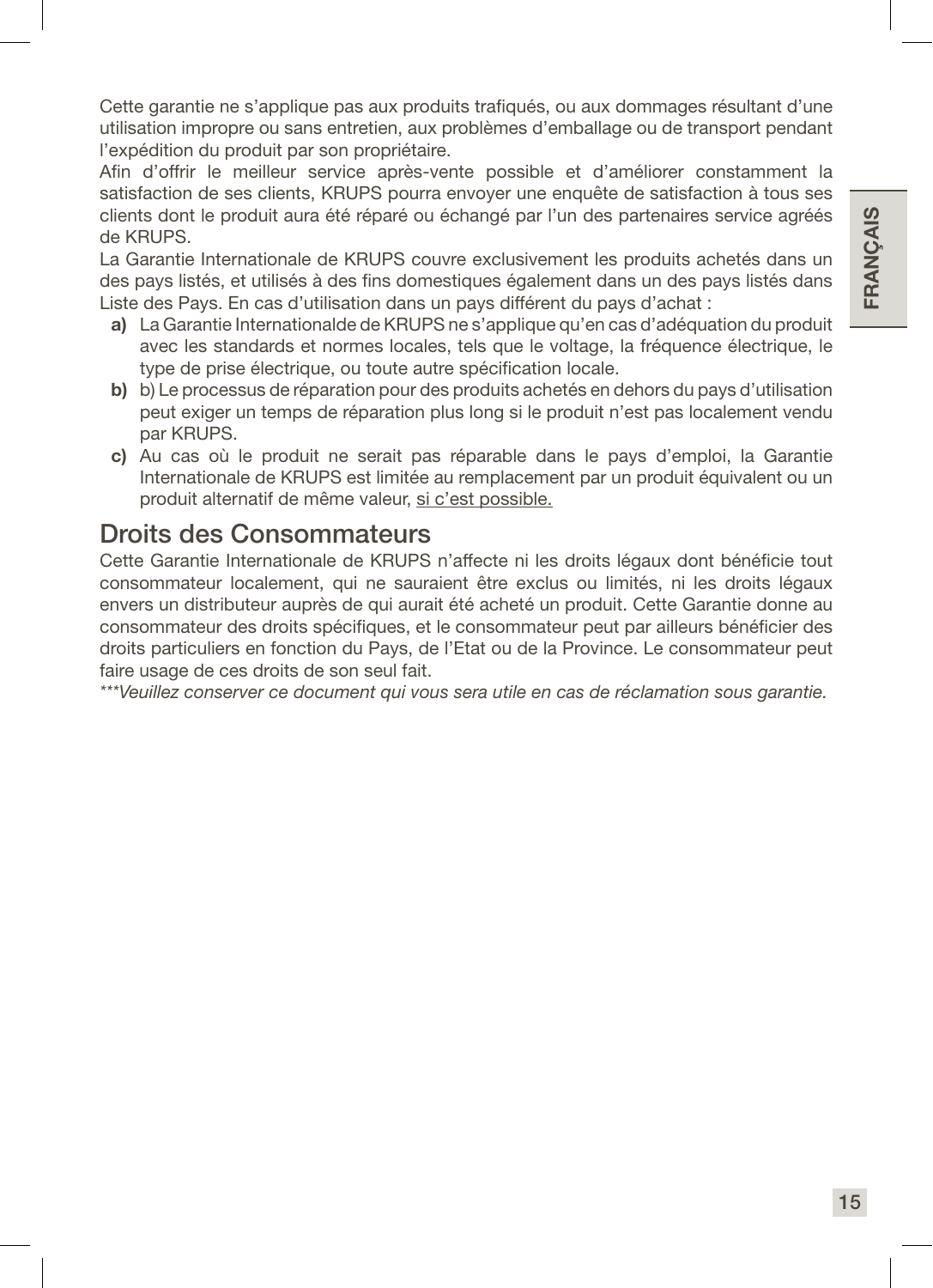Cette garantie ne s'applique pas aux produits trafiqués, ou aux dommages résultant d'une utilisation impropre ou sans entretien, aux problèmes d'emballage ou de transport pendant l'expédition du produit par son propriétaire.

Afin d'offrir le meilleur service après-vente possible et d'améliorer constamment la satisfaction de ses clients, KRUPS pourra envoyer une enquête de satisfaction à tous ses clients dont le produit aura été réparé ou échangé par l'un des partenaires service agréés de KRUPS.

La Garantie Internationale de KRUPS couvre exclusivement les produits achetés dans un des pays listés, et utilisés à des fins domestiques également dans un des pays listés dans Liste des Pays. En cas d'utilisation dans un pays différent du pays d'achat :

- a) La Garantie Internationalde de KRUPS ne s'applique qu'en cas d'adéquation du produit avec les standards et normes locales, tels que le voltage, la fréquence électrique, le type de prise électrique, ou toute autre spécification locale.
- b) b) Le processus de réparation pour des produits achetés en dehors du pays d'utilisation peut exiger un temps de réparation plus long si le produit n'est pas localement vendu par KRUPS.
- c) Au cas où le produit ne serait pas réparable dans le pays d'emploi, la Garantie Internationale de KRUPS est limitée au remplacement par un produit équivalent ou un produit alternatif de même valeur, si c'est possible.

### Droits des Consommateurs

Cette Garantie Internationale de KRUPS n'affecte ni les droits légaux dont bénéficie tout consommateur localement, qui ne sauraient être exclus ou limités, ni les droits légaux envers un distributeur auprès de qui aurait été acheté un produit. Cette Garantie donne au consommateur des droits spécifiques, et le consommateur peut par ailleurs bénéficier des droits particuliers en fonction du Pays, de l'Etat ou de la Province. Le consommateur peut faire usage de ces droits de son seul fait.

*\*\*\*Veuillez conserver ce document qui vous sera utile en cas de réclamation sous garantie.*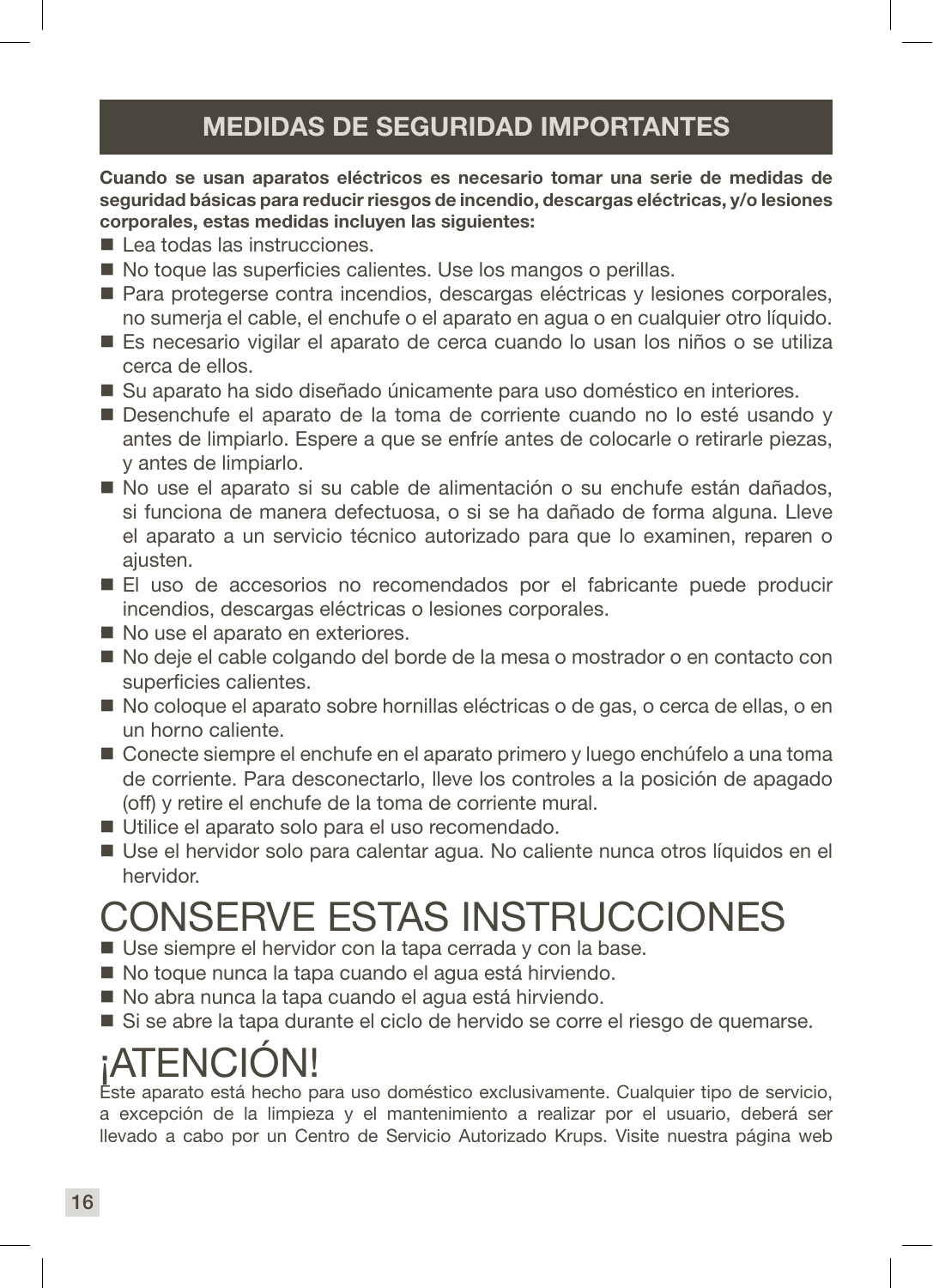### MEDIDAS DE SEGURIDAD IMPORTANTES

Cuando se usan aparatos eléctricos es necesario tomar una serie de medidas de seguridad básicas para reducir riesgos de incendio, descargas eléctricas, y/o lesiones corporales, estas medidas incluyen las siguientes:

- Lea todas las instrucciones.
- No toque las superficies calientes. Use los mangos o perillas.
- Para protegerse contra incendios, descargas eléctricas y lesiones corporales, no sumerja el cable, el enchufe o el aparato en agua o en cualquier otro líquido.
- Es necesario vigilar el aparato de cerca cuando lo usan los niños o se utiliza cerca de ellos.
- Su aparato ha sido diseñado únicamente para uso doméstico en interiores.
- Desenchufe el aparato de la toma de corriente cuando no lo esté usando y antes de limpiarlo. Espere a que se enfríe antes de colocarle o retirarle piezas, y antes de limpiarlo.
- No use el aparato si su cable de alimentación o su enchufe están dañados, si funciona de manera defectuosa, o si se ha dañado de forma alguna. Lleve el aparato a un servicio técnico autorizado para que lo examinen, reparen o ajusten.
- El uso de accesorios no recomendados por el fabricante puede producir incendios, descargas eléctricas o lesiones corporales.
- No use el aparato en exteriores.
- No deje el cable colgando del borde de la mesa o mostrador o en contacto con superficies calientes.
- No coloque el aparato sobre hornillas eléctricas o de gas, o cerca de ellas, o en un horno caliente.
- Conecte siempre el enchufe en el aparato primero y luego enchúfelo a una toma de corriente. Para desconectarlo, lleve los controles a la posición de apagado (off) y retire el enchufe de la toma de corriente mural.
- Utilice el aparato solo para el uso recomendado.
- Use el hervidor solo para calentar agua. No caliente nunca otros líquidos en el hervidor.

## CONSERVE ESTAS INSTRUCCIONES

- Use siempre el hervidor con la tapa cerrada y con la base.
- No toque nunca la tapa cuando el agua está hirviendo.
- No abra nunca la tapa cuando el agua está hirviendo.
- Si se abre la tapa durante el ciclo de hervido se corre el riesgo de quemarse.

## ¡ATENCIÓN!

Este aparato está hecho para uso doméstico exclusivamente. Cualquier tipo de servicio, a excepción de la limpieza y el mantenimiento a realizar por el usuario, deberá ser llevado a cabo por un Centro de Servicio Autorizado Krups. Visite nuestra página web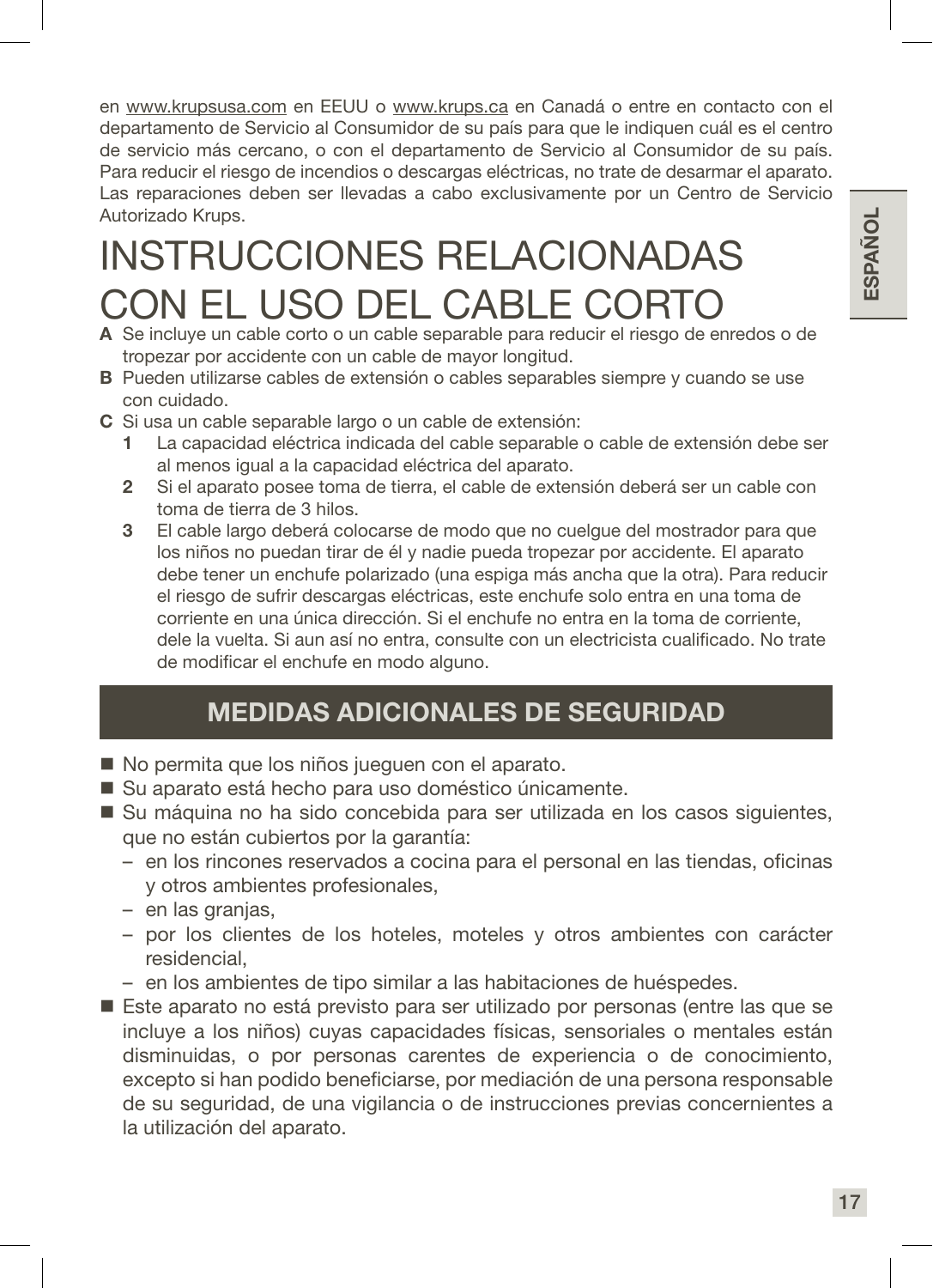en www.krupsusa.com en EEUU o www.krups.ca en Canadá o entre en contacto con el departamento de Servicio al Consumidor de su país para que le indiquen cuál es el centro de servicio más cercano, o con el departamento de Servicio al Consumidor de su país. Para reducir el riesgo de incendios o descargas eléctricas, no trate de desarmar el aparato. Las reparaciones deben ser llevadas a cabo exclusivamente por un Centro de Servicio Autorizado Krups.

## INSTRUCCIONES RELACIONADAS CON EL USO DEL CABLE CORTO

- A Se incluye un cable corto o un cable separable para reducir el riesgo de enredos o de tropezar por accidente con un cable de mayor longitud.
- B Pueden utilizarse cables de extensión o cables separables siempre y cuando se use con cuidado.
- C Si usa un cable separable largo o un cable de extensión:
	- 1 La capacidad eléctrica indicada del cable separable o cable de extensión debe ser al menos igual a la capacidad eléctrica del aparato.
	- 2 Si el aparato posee toma de tierra, el cable de extensión deberá ser un cable con toma de tierra de 3 hilos.
	- 3 El cable largo deberá colocarse de modo que no cuelgue del mostrador para que los niños no puedan tirar de él y nadie pueda tropezar por accidente. El aparato debe tener un enchufe polarizado (una espiga más ancha que la otra). Para reducir el riesgo de sufrir descargas eléctricas, este enchufe solo entra en una toma de corriente en una única dirección. Si el enchufe no entra en la toma de corriente, dele la vuelta. Si aun así no entra, consulte con un electricista cualificado. No trate de modificar el enchufe en modo alguno.

### MEDIDAS ADICIONALES DE SEGURIDAD

- No permita que los niños juequen con el aparato.
- Su aparato está hecho para uso doméstico únicamente.
- Su máquina no ha sido concebida para ser utilizada en los casos siguientes, que no están cubiertos por la garantía:
	- en los rincones reservados a cocina para el personal en las tiendas, oficinas y otros ambientes profesionales,
	- en las granjas,
	- por los clientes de los hoteles, moteles y otros ambientes con carácter residencial,
	- en los ambientes de tipo similar a las habitaciones de huéspedes.
- Este aparato no está previsto para ser utilizado por personas (entre las que se incluye a los niños) cuyas capacidades físicas, sensoriales o mentales están disminuidas, o por personas carentes de experiencia o de conocimiento, excepto si han podido beneficiarse, por mediación de una persona responsable de su seguridad, de una vigilancia o de instrucciones previas concernientes a la utilización del aparato.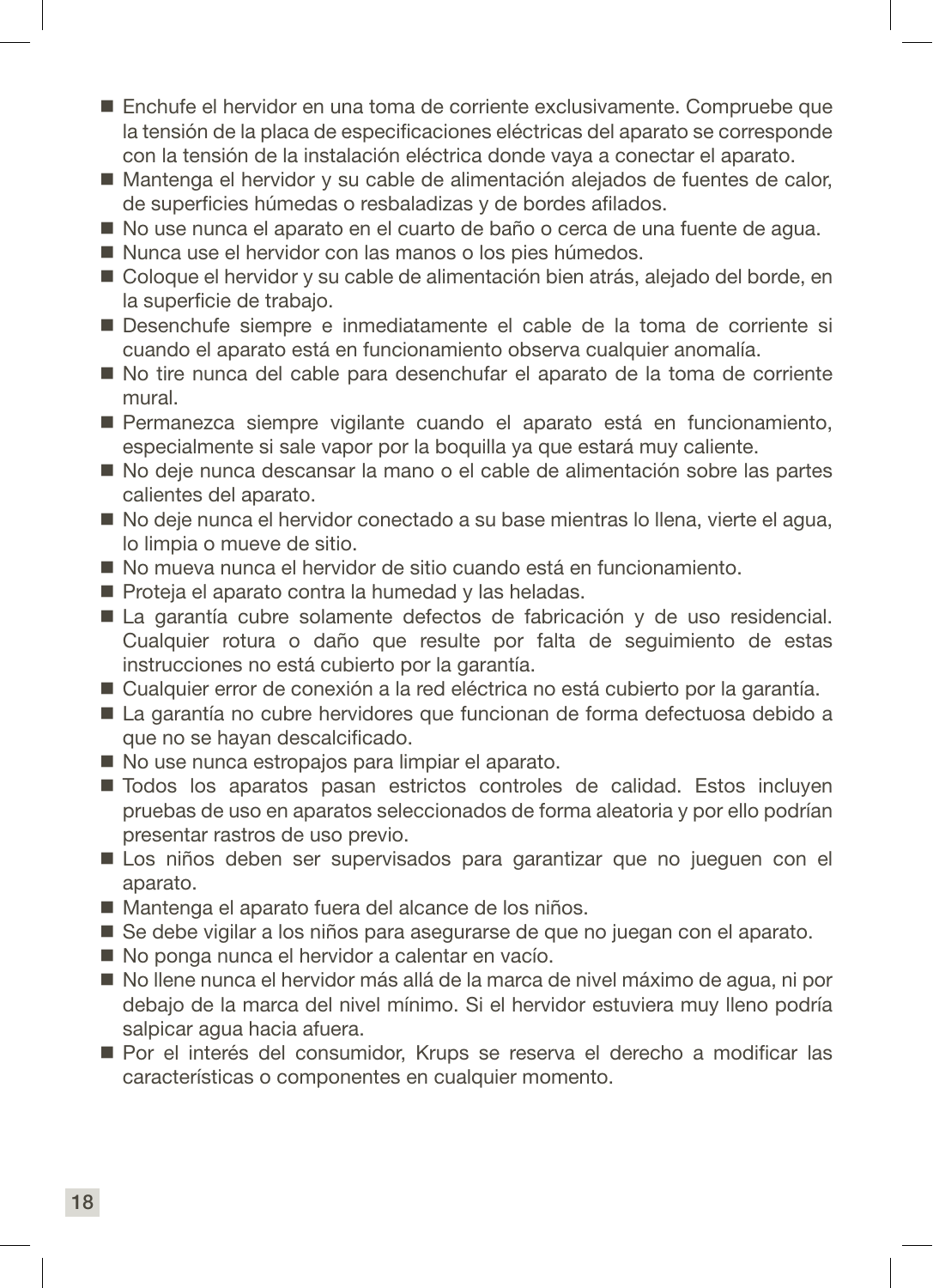- Enchufe el hervidor en una toma de corriente exclusivamente. Compruebe que la tensión de la placa de especificaciones eléctricas del aparato se corresponde con la tensión de la instalación eléctrica donde vaya a conectar el aparato.
- Mantenga el hervidor y su cable de alimentación alejados de fuentes de calor. de superficies húmedas o resbaladizas y de bordes afilados.
- No use nunca el aparato en el cuarto de baño o cerca de una fuente de agua.
- Nunca use el hervidor con las manos o los pies húmedos.
- Coloque el hervidor y su cable de alimentación bien atrás, alejado del borde, en la superficie de trabajo.
- Desenchufe siempre e inmediatamente el cable de la toma de corriente si cuando el aparato está en funcionamiento observa cualquier anomalía.
- No tire nunca del cable para desenchufar el aparato de la toma de corriente mural.
- Permanezca siempre vigilante cuando el aparato está en funcionamiento, especialmente si sale vapor por la boquilla ya que estará muy caliente.
- No deje nunca descansar la mano o el cable de alimentación sobre las partes calientes del aparato.
- No deje nunca el hervidor conectado a su base mientras lo llena, vierte el agua, lo limpia o mueve de sitio.
- No mueva nunca el hervidor de sitio cuando está en funcionamiento.
- Proteja el aparato contra la humedad y las heladas.
- La garantía cubre solamente defectos de fabricación y de uso residencial. Cualquier rotura o daño que resulte por falta de seguimiento de estas instrucciones no está cubierto por la garantía.
- Cualquier error de conexión a la red eléctrica no está cubierto por la garantía.
- La garantía no cubre hervidores que funcionan de forma defectuosa debido a que no se hayan descalcificado.
- No use nunca estropajos para limpiar el aparato.
- $\blacksquare$  Todos los aparatos pasan estrictos controles de calidad. Estos incluyen pruebas de uso en aparatos seleccionados de forma aleatoria y por ello podrían presentar rastros de uso previo.
- Los niños deben ser supervisados para garantizar que no jueguen con el aparato.
- Mantenga el aparato fuera del alcance de los niños.
- Se debe vigilar a los niños para asegurarse de que no juegan con el aparato.
- No ponga nunca el hervidor a calentar en vacío.
- No llene nunca el hervidor más allá de la marca de nivel máximo de agua, ni por debajo de la marca del nivel mínimo. Si el hervidor estuviera muy lleno podría salpicar agua hacia afuera.
- Por el interés del consumidor, Krups se reserva el derecho a modificar las características o componentes en cualquier momento.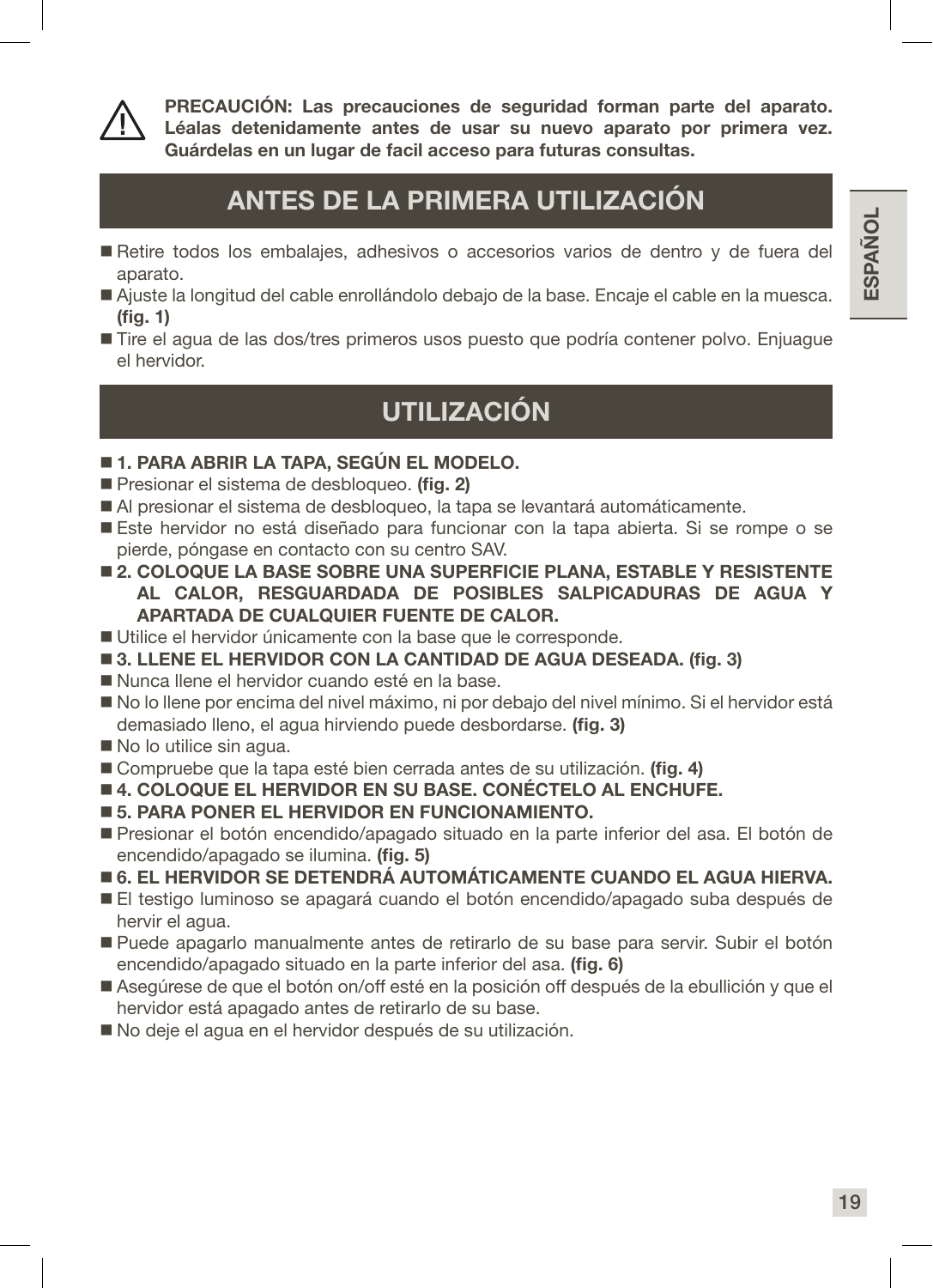

PRECAUCIÓN: Las precauciones de seguridad forman parte del aparato. Léalas detenidamente antes de usar su nuevo aparato por primera vez. Guárdelas en un lugar de facil acceso para futuras consultas.

### ANTES DE LA PRIMERA UTILIZACIÓN

- Retire todos los embalajes, adhesivos o accesorios varios de dentro y de fuera del aparato.
- Ajuste la longitud del cable enrollándolo debajo de la base. Encaje el cable en la muesca. (fig. 1)
- Tire el agua de las dos/tres primeros usos puesto que podría contener polvo. Enjuague el hervidor.

### UTILIZACIÓN

#### 1. PARA ABRIR LA TAPA, SEGÚN EL MODELO.

- Presionar el sistema de desbloqueo. (fig. 2)
- Al presionar el sistema de desbloqueo, la tapa se levantará automáticamente.
- Este hervidor no está diseñado para funcionar con la tapa abierta. Si se rompe o se pierde, póngase en contacto con su centro SAV.
- **2. COLOQUE LA BASE SOBRE UNA SUPERFICIE PLANA, ESTABLE Y RESISTENTE** AL CALOR, RESGUARDADA DE POSIBLES SALPICADURAS DE AGUA Y APARTADA DE CUALQUIER FUENTE DE CALOR.
- Utilice el hervidor únicamente con la base que le corresponde.
- 3. LLENE EL HERVIDOR CON LA CANTIDAD DE AGUA DESEADA. (fig. 3)
- Nunca llene el hervidor cuando esté en la base.
- No lo llene por encima del nivel máximo, ni por debajo del nivel mínimo. Si el hervidor está demasiado lleno, el agua hirviendo puede desbordarse. (fig. 3)
- No lo utilice sin agua.
- Compruebe que la tapa esté bien cerrada antes de su utilización. (fig. 4)
- 4. COLOQUE EL HERVIDOR EN SU BASE. CONÉCTELO AL ENCHUFE.
- **5. PARA PONER EL HERVIDOR EN FUNCIONAMIENTO.**
- Presionar el botón encendido/apagado situado en la parte inferior del asa. El botón de encendido/apagado se ilumina. (fig. 5)
- 6. EL HERVIDOR SE DETENDRÁ AUTOMÁTICAMENTE CUANDO EL AGUA HIERVA.
- El testigo luminoso se apagará cuando el botón encendido/apagado suba después de hervir el agua.
- Puede apagarlo manualmente antes de retirarlo de su base para servir. Subir el botón encendido/apagado situado en la parte inferior del asa. (fig. 6)
- Asegúrese de que el botón on/off esté en la posición off después de la ebullición y que el hervidor está apagado antes de retirarlo de su base.
- No deje el agua en el hervidor después de su utilización.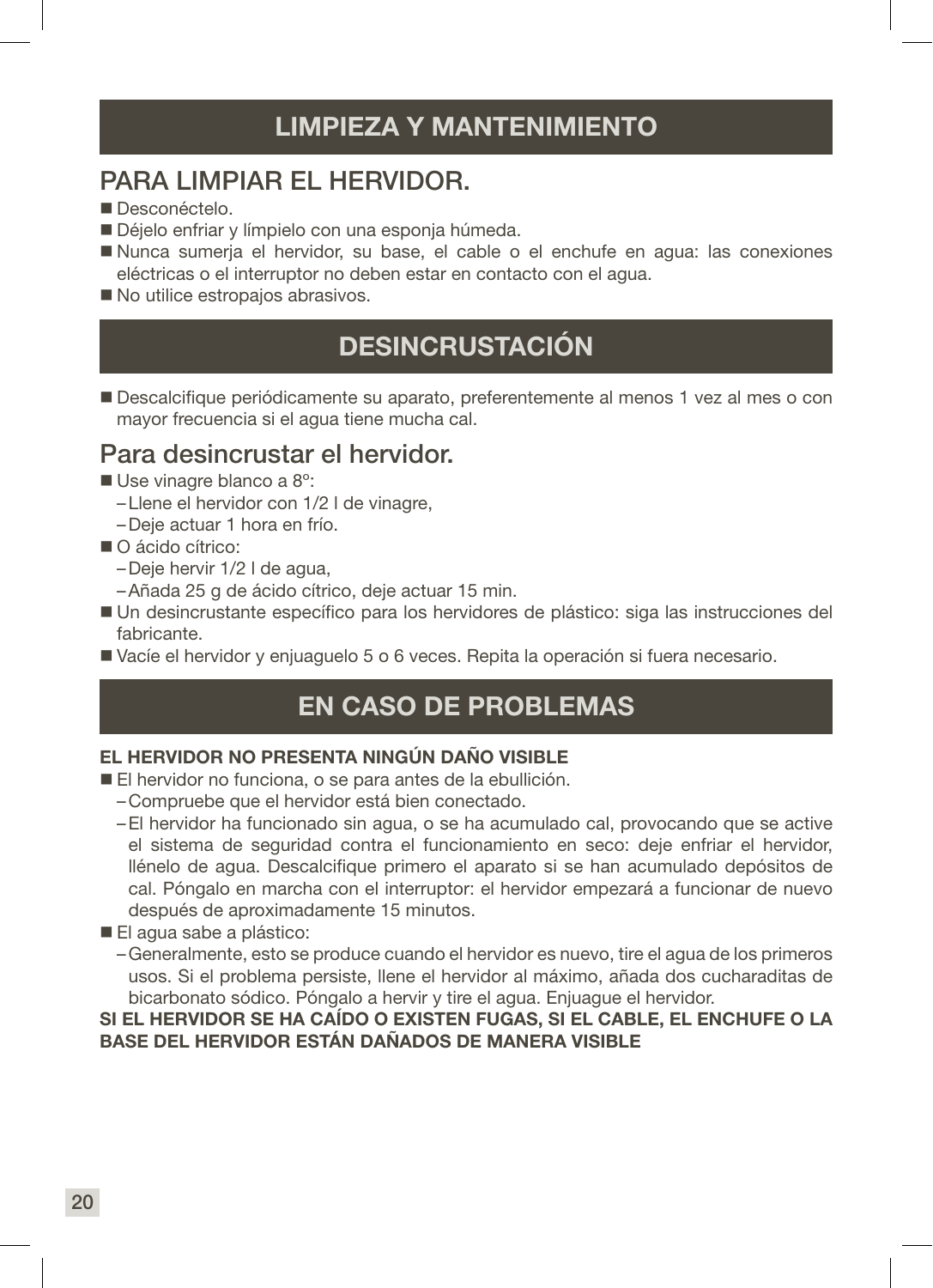### LIMPIEZA Y MANTENIMIENTO

### PARA LIMPIAR EL HERVIDOR.

- Desconéctelo.
- Déjelo enfriar y límpielo con una esponia húmeda.
- Nunca sumerja el hervidor, su base, el cable o el enchufe en agua: las conexiones eléctricas o el interruptor no deben estar en contacto con el agua.
- No utilice estropaios abrasivos.

### DESINCRUSTACIÓN

 Descalcifique periódicamente su aparato, preferentemente al menos 1 vez al mes o con mayor frecuencia si el agua tiene mucha cal.

### Para desincrustar el hervidor.

- Use vinagre blanco a 8°:
	- –Llene el hervidor con 1/2 l de vinagre,
	- –Deje actuar 1 hora en frío.
- O ácido cítrico:
	- –Deje hervir 1/2 l de agua,
	- –Añada 25 g de ácido cítrico, deje actuar 15 min.
- Un desincrustante específico para los hervidores de plástico: siga las instrucciones del fabricante.
- Vacíe el hervidor y enjuaguelo 5 o 6 veces. Repita la operación si fuera necesario.

### EN CASO DE PROBLEMAS

#### EL HERVIDOR NO PRESENTA NINGÚN DAÑO VISIBLE

- El hervidor no funciona, o se para antes de la ebullición.
	- –Compruebe que el hervidor está bien conectado.
	- –El hervidor ha funcionado sin agua, o se ha acumulado cal, provocando que se active el sistema de seguridad contra el funcionamiento en seco: deje enfriar el hervidor, llénelo de agua. Descalcifique primero el aparato si se han acumulado depósitos de cal. Póngalo en marcha con el interruptor: el hervidor empezará a funcionar de nuevo después de aproximadamente 15 minutos.
- El agua sabe a plástico:
	- –Generalmente, esto se produce cuando el hervidor es nuevo, tire el agua de los primeros usos. Si el problema persiste, llene el hervidor al máximo, añada dos cucharaditas de bicarbonato sódico. Póngalo a hervir y tire el agua. Enjuague el hervidor.

#### SI EL HERVIDOR SE HA CAÍDO O EXISTEN FUGAS, SI EL CABLE, EL ENCHUFE O LA BASE DEL HERVIDOR ESTÁN DAÑADOS DE MANERA VISIBLE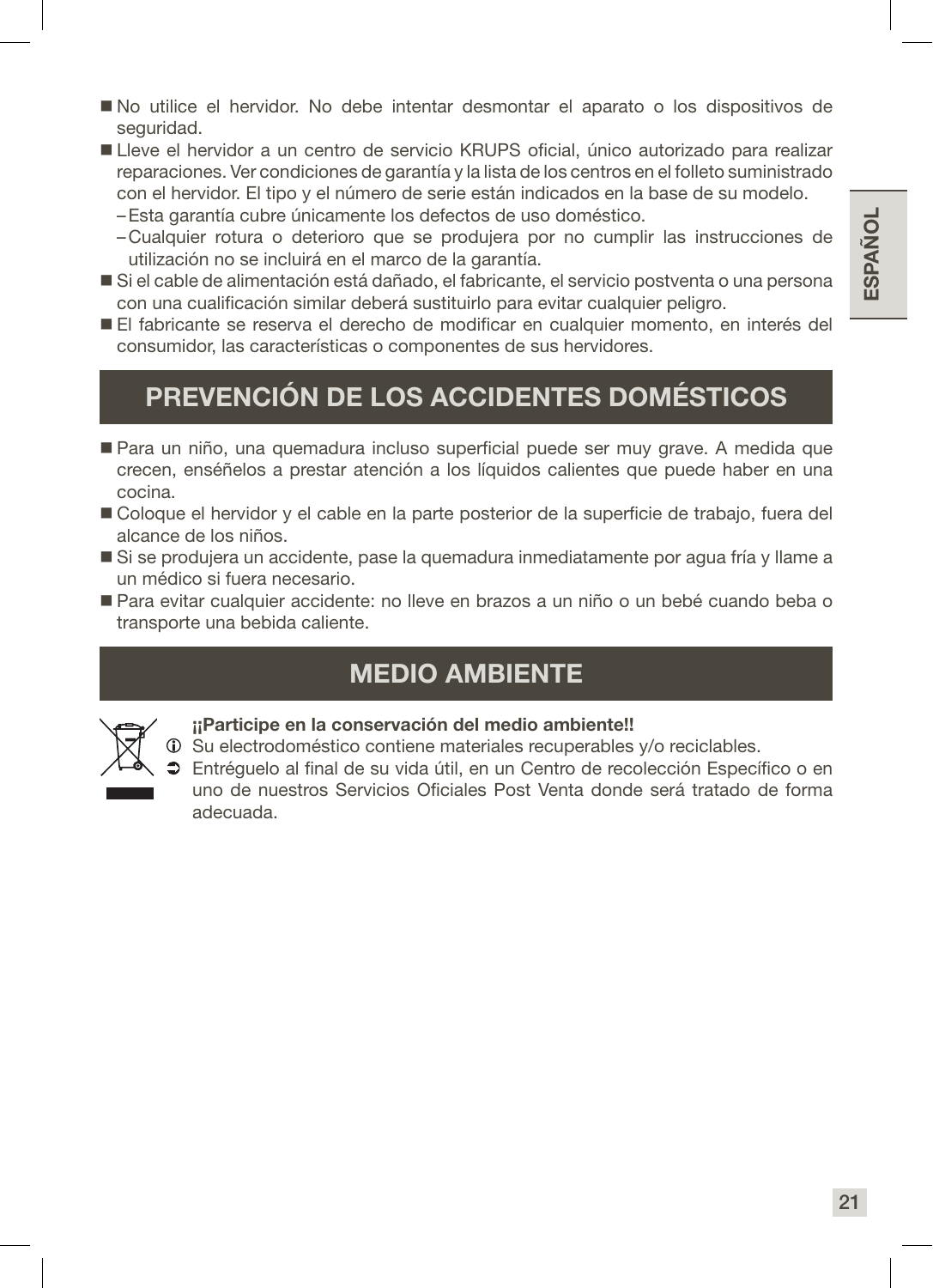- No utilice el hervidor. No debe intentar desmontar el aparato o los dispositivos de seguridad.
- Lleve el hervidor a un centro de servicio KRUPS oficial, único autorizado para realizar reparaciones. Ver condiciones de garantía y la lista de los centros en el folleto suministrado con el hervidor. El tipo y el número de serie están indicados en la base de su modelo.
	- –Esta garantía cubre únicamente los defectos de uso doméstico.
	- –Cualquier rotura o deterioro que se produjera por no cumplir las instrucciones de utilización no se incluirá en el marco de la garantía.
- Si el cable de alimentación está dañado, el fabricante, el servicio postventa o una persona con una cualificación similar deberá sustituirlo para evitar cualquier peligro.
- El fabricante se reserva el derecho de modificar en cualquier momento, en interés del consumidor, las características o componentes de sus hervidores.

### PREVENCIÓN DE LOS ACCIDENTES DOMÉSTICOS

- Para un niño, una quemadura incluso superficial puede ser muy grave. A medida que crecen, enséñelos a prestar atención a los líquidos calientes que puede haber en una cocina.
- Coloque el hervidor y el cable en la parte posterior de la superficie de trabajo, fuera del alcance de los niños.
- Si se produjera un accidente, pase la quemadura inmediatamente por agua fría y llame a un médico si fuera necesario.
- Para evitar cualquier accidente: no lleve en brazos a un niño o un bebé cuando beba o transporte una bebida caliente.

### MEDIO AMBIENTE



#### ¡¡Participe en la conservación del medio ambiente!!

- Su electrodoméstico contiene materiales recuperables y/o reciclables.
- Entréguelo al final de su vida útil, en un Centro de recolección Específico o en uno de nuestros Servicios Oficiales Post Venta donde será tratado de forma adecuada.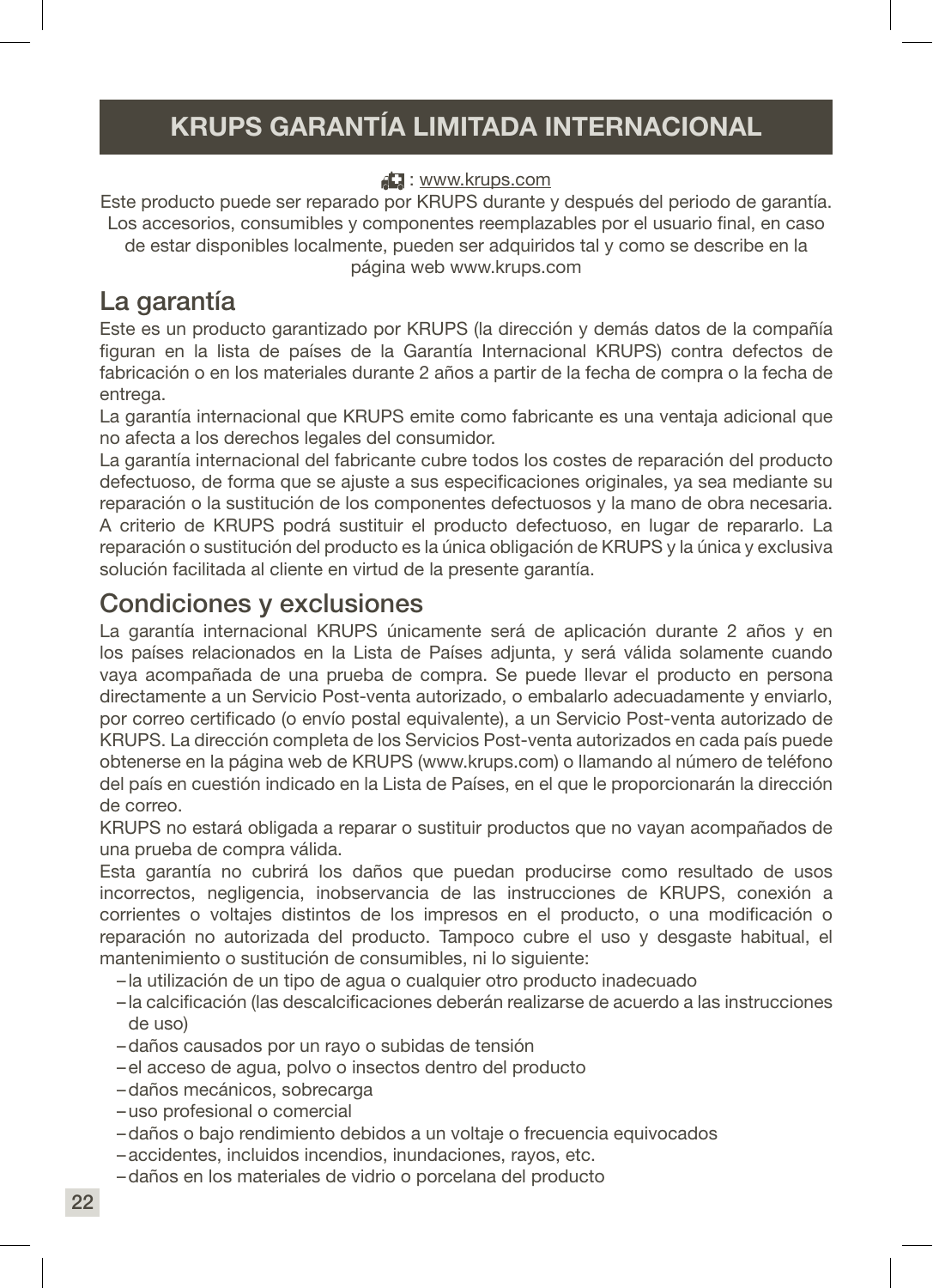### KRUPS GARANTÍA LIMITADA INTERNACIONAL

#### : www.krups.com

Este producto puede ser reparado por KRUPS durante y después del periodo de garantía. Los accesorios, consumibles y componentes reemplazables por el usuario final, en caso de estar disponibles localmente, pueden ser adquiridos tal y como se describe en la página web www.krups.com

### La garantía

Este es un producto garantizado por KRUPS (la dirección y demás datos de la compañía figuran en la lista de países de la Garantía Internacional KRUPS) contra defectos de fabricación o en los materiales durante 2 años a partir de la fecha de compra o la fecha de entrega.

La garantía internacional que KRUPS emite como fabricante es una ventaja adicional que no afecta a los derechos legales del consumidor.

La garantía internacional del fabricante cubre todos los costes de reparación del producto defectuoso, de forma que se ajuste a sus especificaciones originales, ya sea mediante su reparación o la sustitución de los componentes defectuosos y la mano de obra necesaria. A criterio de KRUPS podrá sustituir el producto defectuoso, en lugar de repararlo. La reparación o sustitución del producto es la única obligación de KRUPS y la única y exclusiva solución facilitada al cliente en virtud de la presente garantía.

### Condiciones y exclusiones

La garantía internacional KRUPS únicamente será de aplicación durante 2 años y en los países relacionados en la Lista de Países adjunta, y será válida solamente cuando vaya acompañada de una prueba de compra. Se puede llevar el producto en persona directamente a un Servicio Post-venta autorizado, o embalarlo adecuadamente y enviarlo, por correo certificado (o envío postal equivalente), a un Servicio Post-venta autorizado de KRUPS. La dirección completa de los Servicios Post-venta autorizados en cada país puede obtenerse en la página web de KRUPS (www.krups.com) o llamando al número de teléfono del país en cuestión indicado en la Lista de Países, en el que le proporcionarán la dirección de correo.

KRUPS no estará obligada a reparar o sustituir productos que no vayan acompañados de una prueba de compra válida.

Esta garantía no cubrirá los daños que puedan producirse como resultado de usos incorrectos, negligencia, inobservancia de las instrucciones de KRUPS, conexión a corrientes o voltajes distintos de los impresos en el producto, o una modificación o reparación no autorizada del producto. Tampoco cubre el uso y desgaste habitual, el mantenimiento o sustitución de consumibles, ni lo siguiente:

- la utilización de un tipo de agua o cualquier otro producto inadecuado
- la calcificación (las descalcificaciones deberán realizarse de acuerdo a las instrucciones de uso)
- –daños causados por un rayo o subidas de tensión
- –el acceso de agua, polvo o insectos dentro del producto
- –daños mecánicos, sobrecarga
- –uso profesional o comercial
- –daños o bajo rendimiento debidos a un voltaje o frecuencia equivocados
- –accidentes, incluidos incendios, inundaciones, rayos, etc.
- –daños en los materiales de vidrio o porcelana del producto